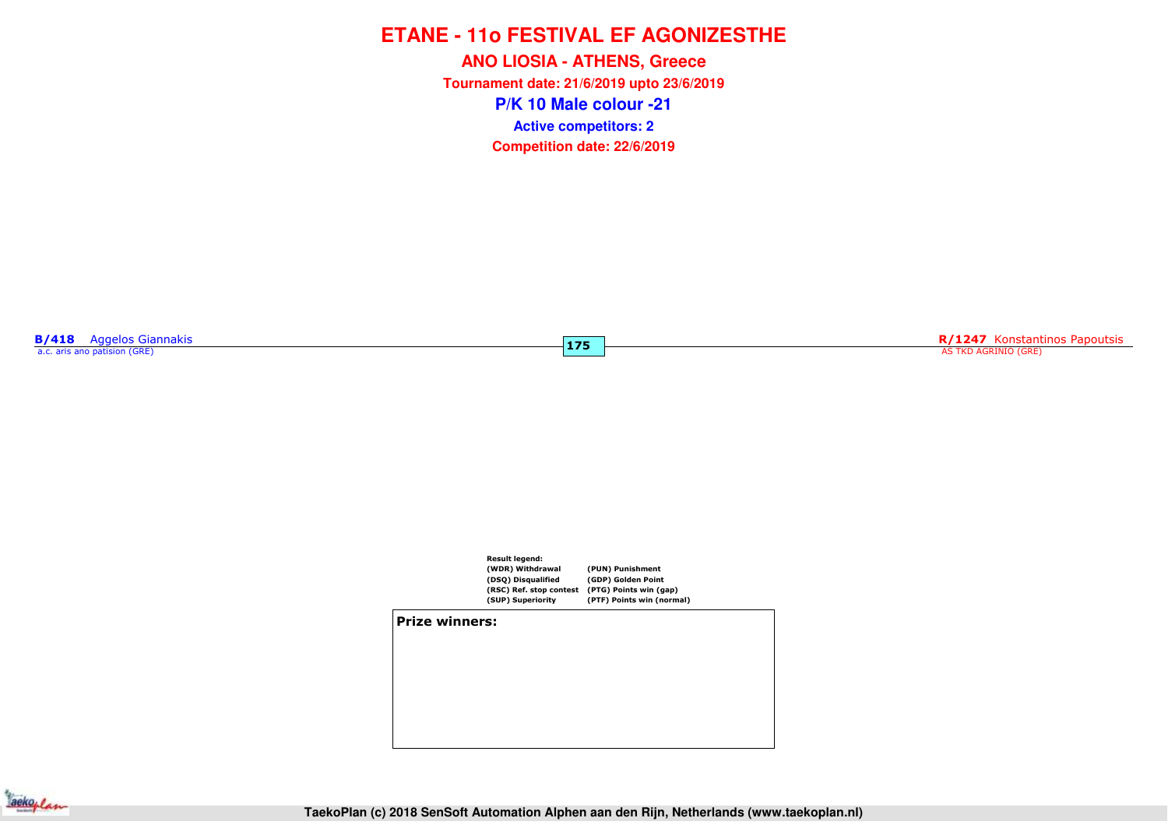**P/K 10 Male colour -21ANO LIOSIA - ATHENS, Greece Tournament date: 21/6/2019 upto 23/6/2019Competition date: 22/6/2019 Active competitors: 2**

**175**

**B/418** Aggelos Giannakis a.c. aris ano patision (GRE)

**R/1247** Konstantinos Papoutsis AS TKD AGRINIO (GRE)



**Prize winners:**

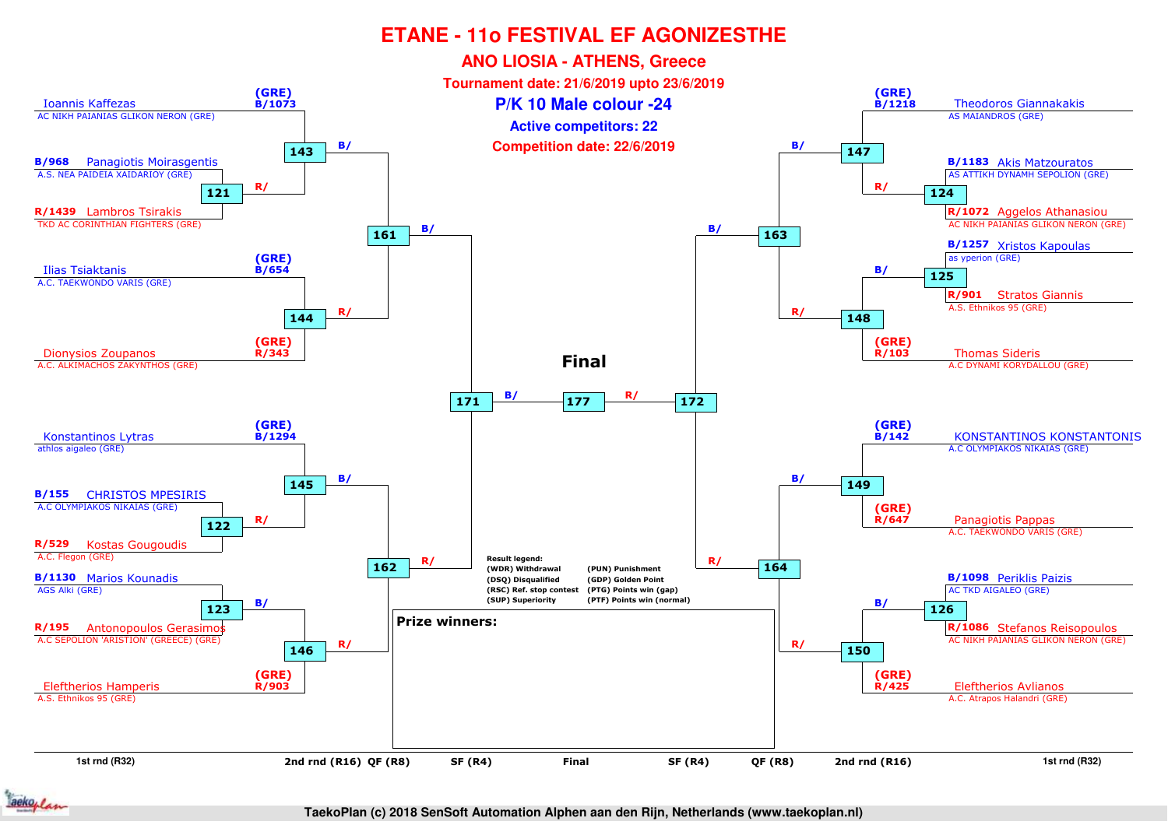

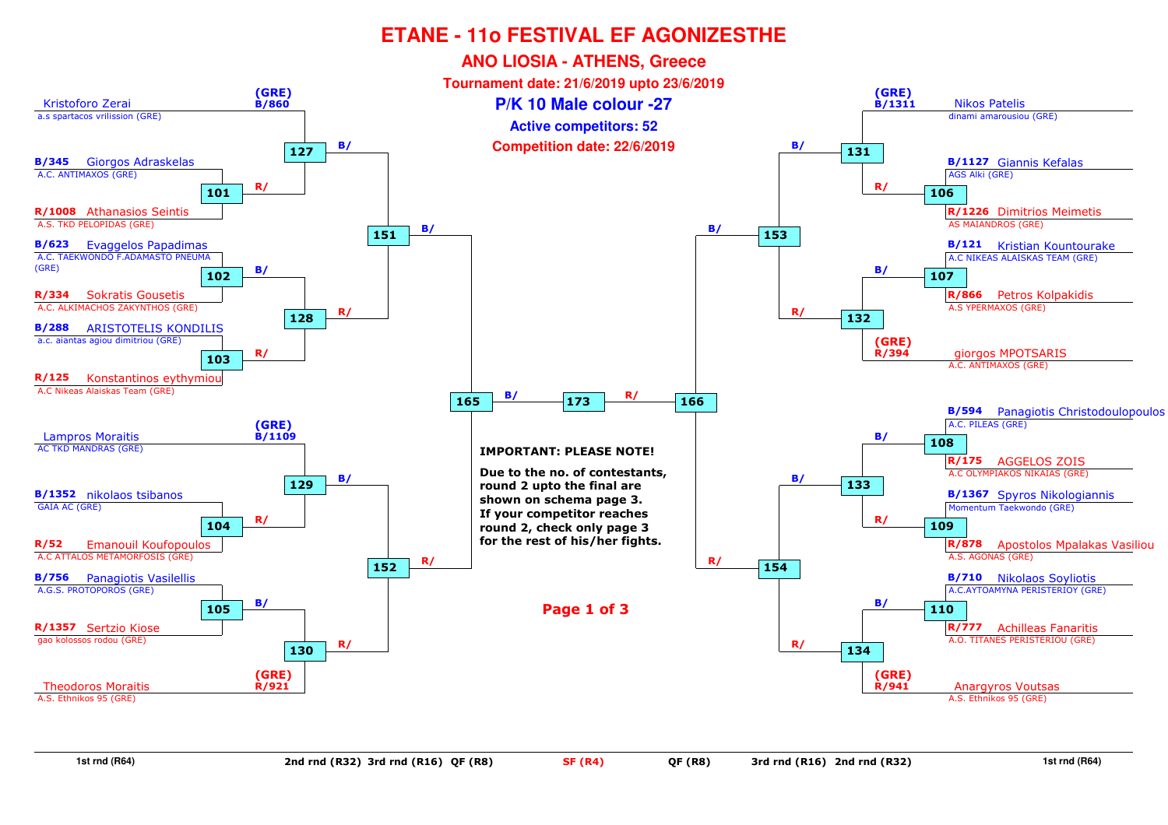

**1st rnd (R64)**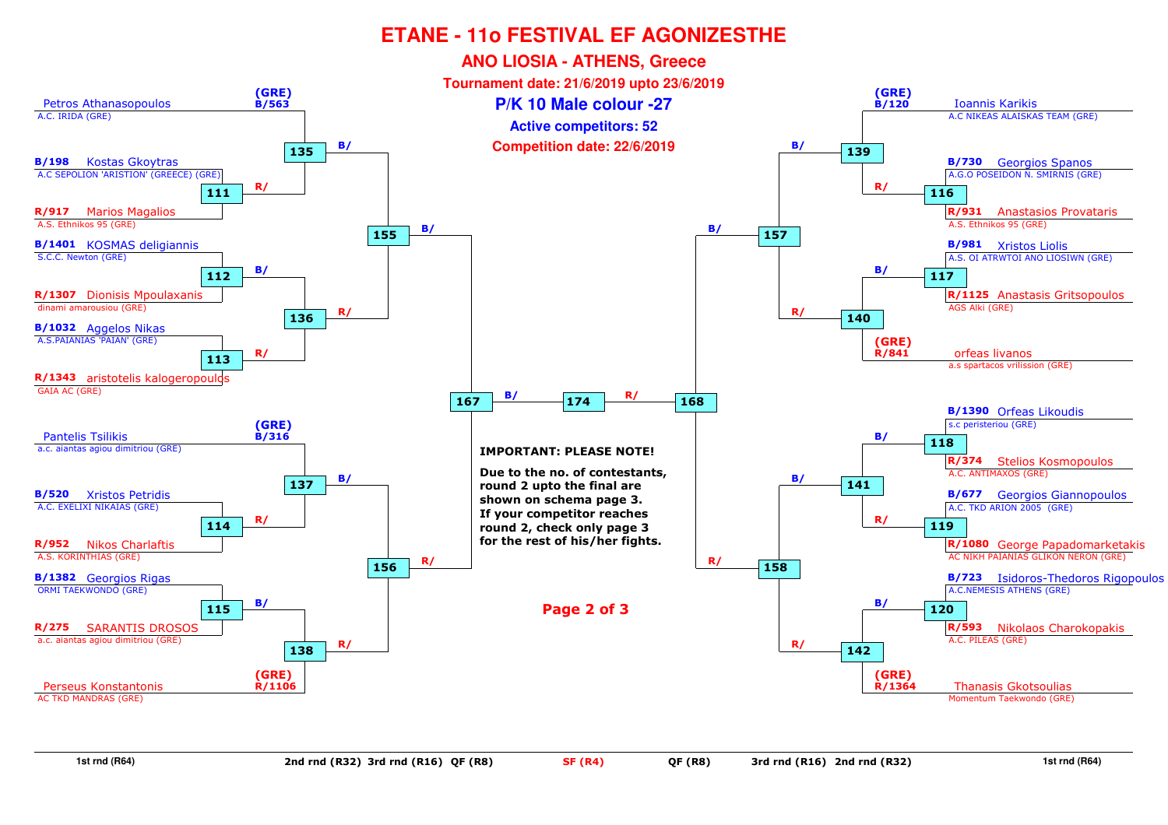

**1st rnd (R64)**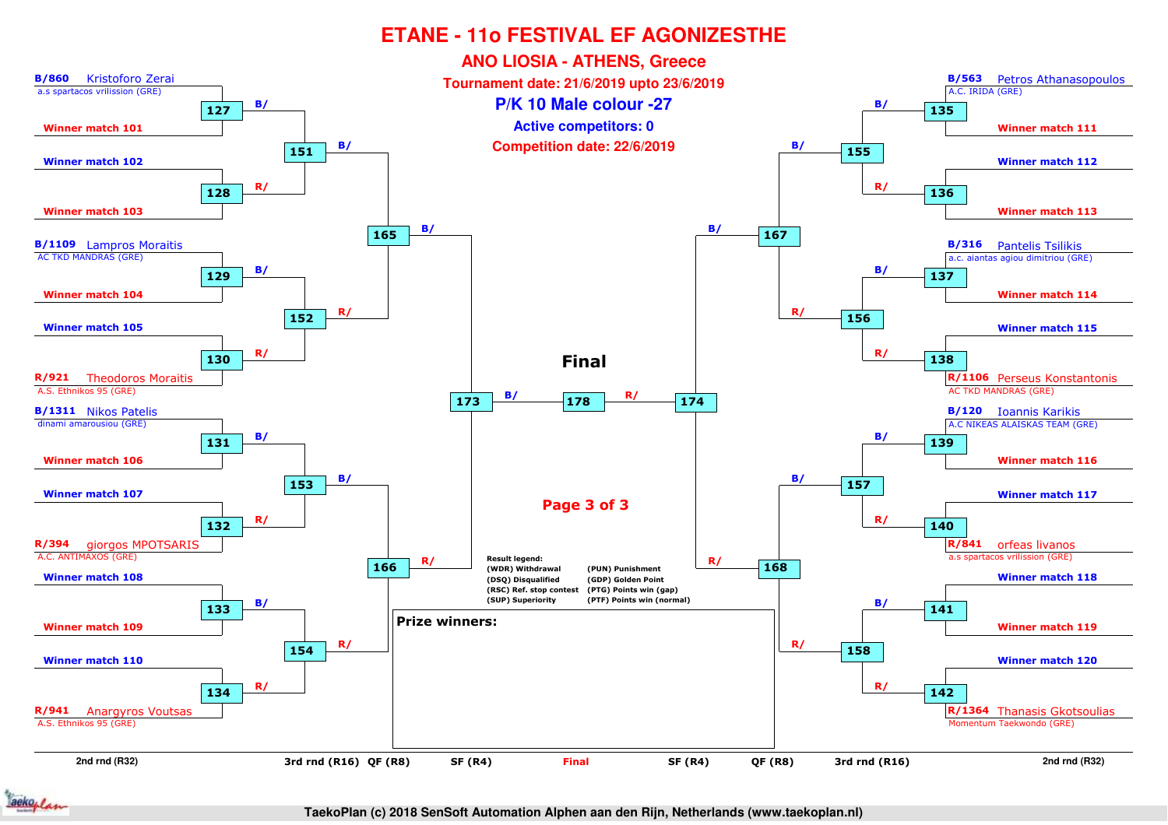

aekoplan

**TaekoPlan (c) 2018 SenSoft Automation Alphen aan den Rijn, Netherlands (www.taekoplan.nl)**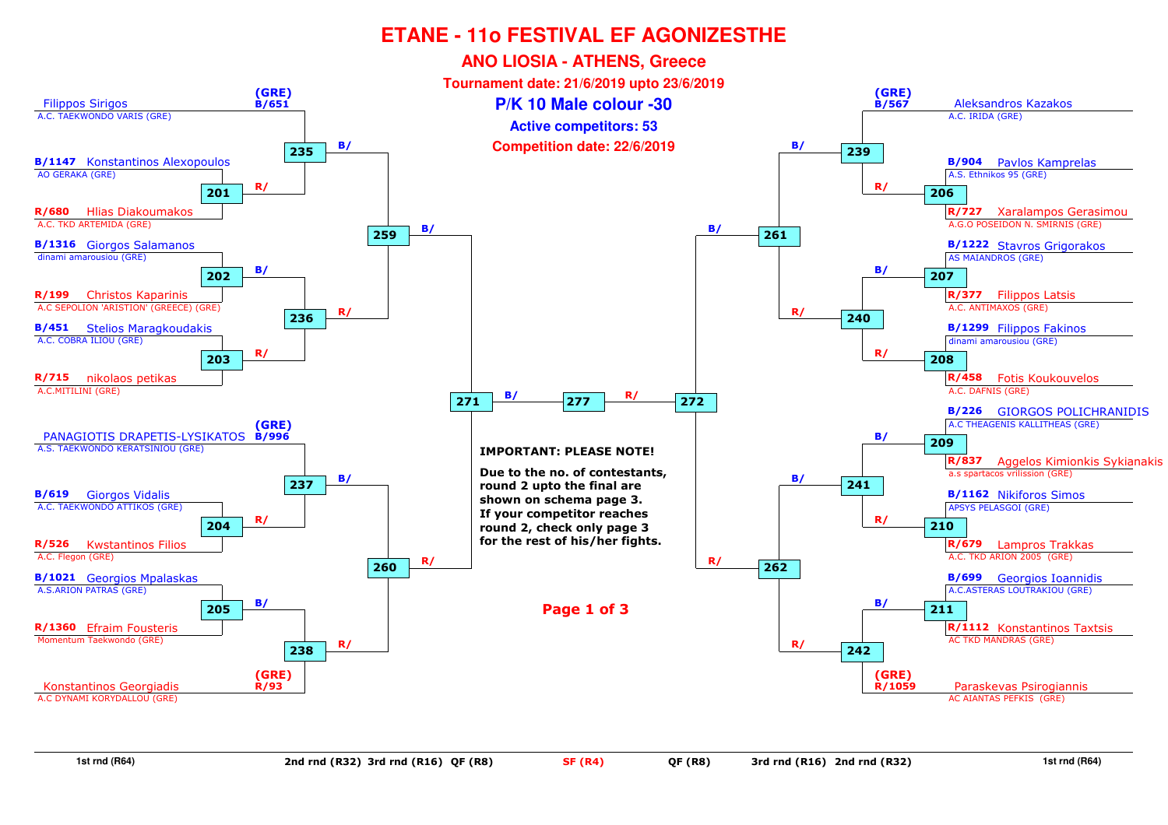

**1st rnd (R64)**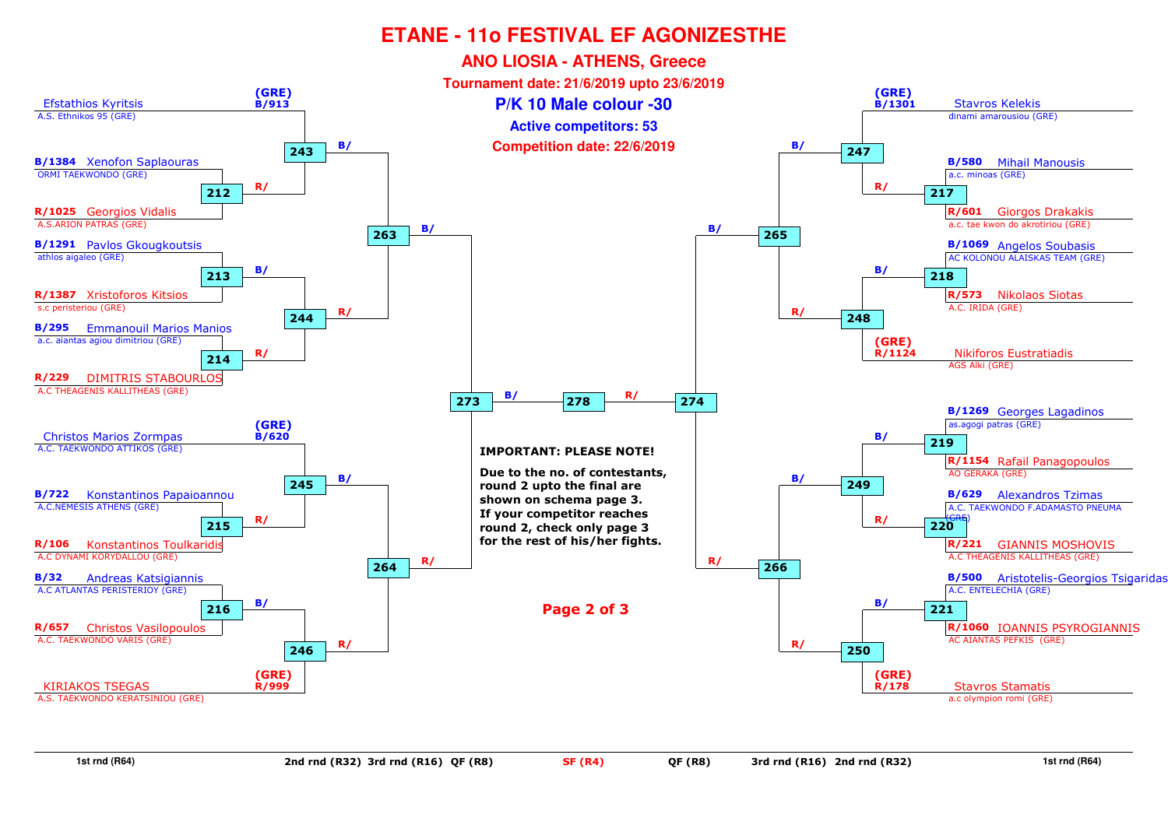

**1st rnd (R64)**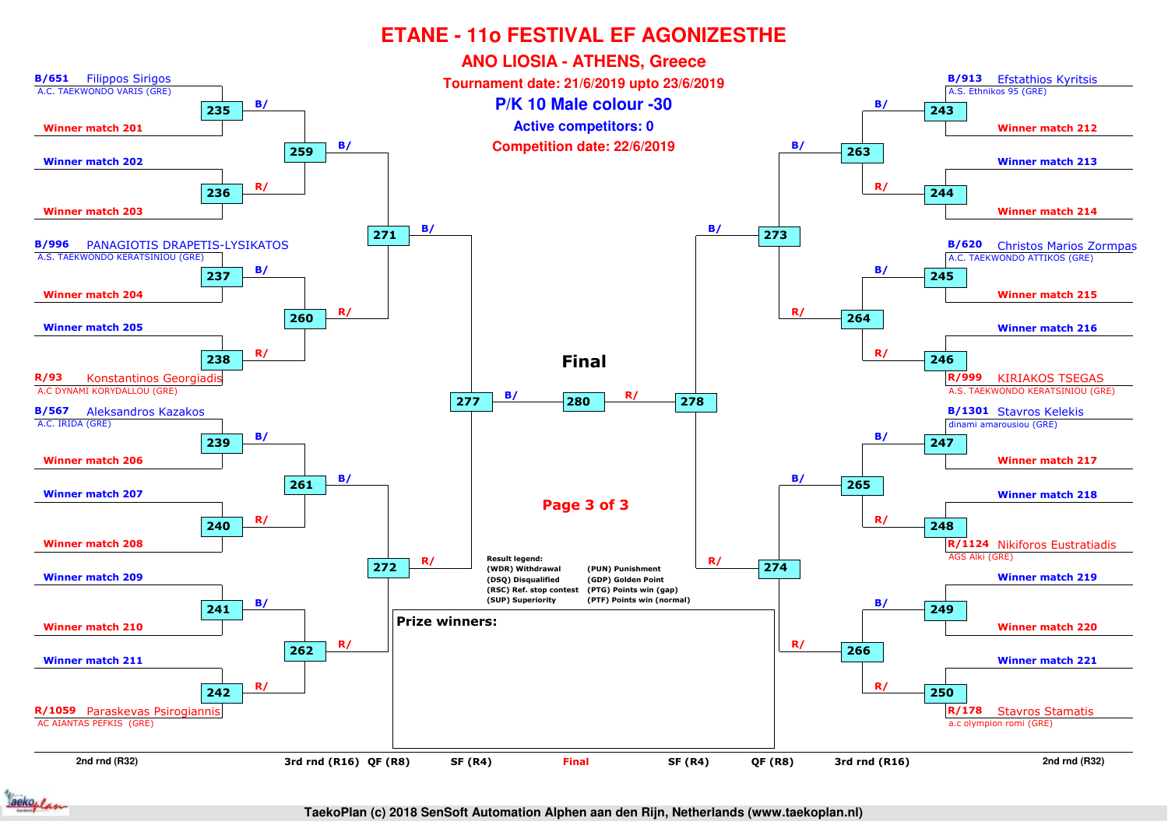

**TaekoPlan (c) 2018 SenSoft Automation Alphen aan den Rijn, Netherlands (www.taekoplan.nl)**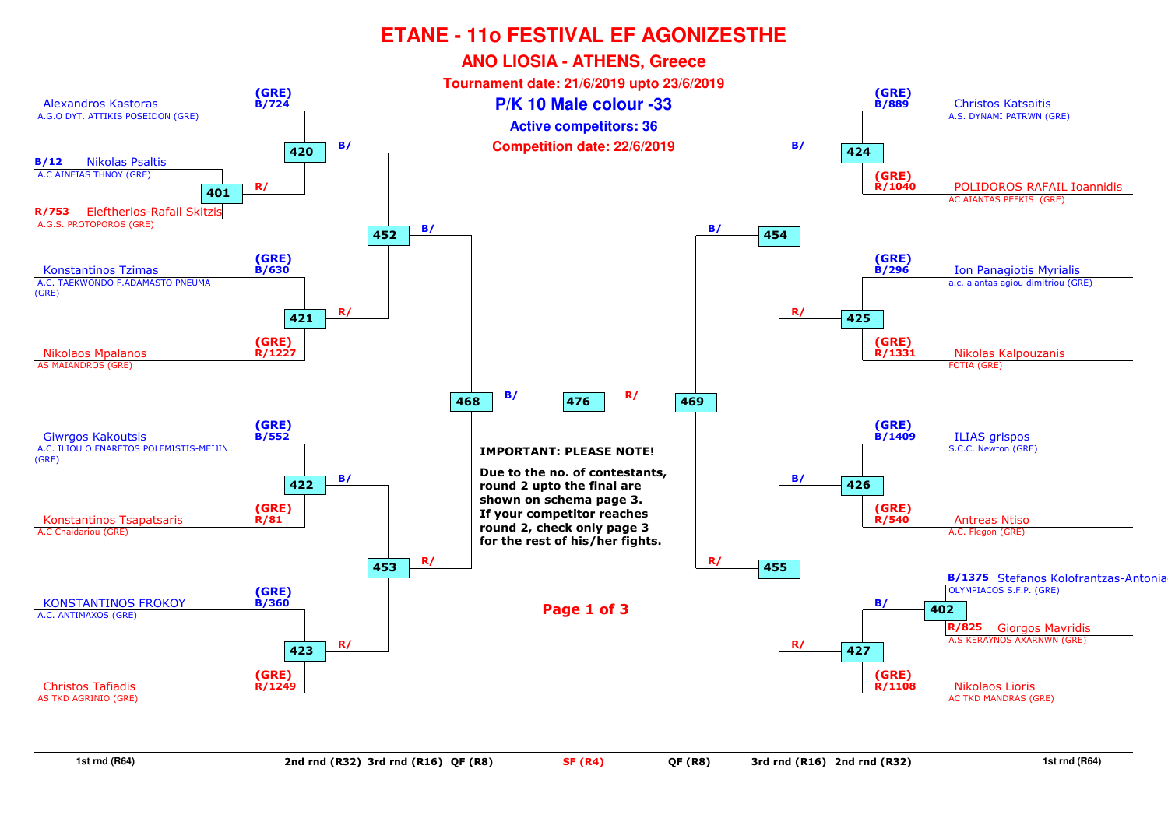

**1st rnd (R64)**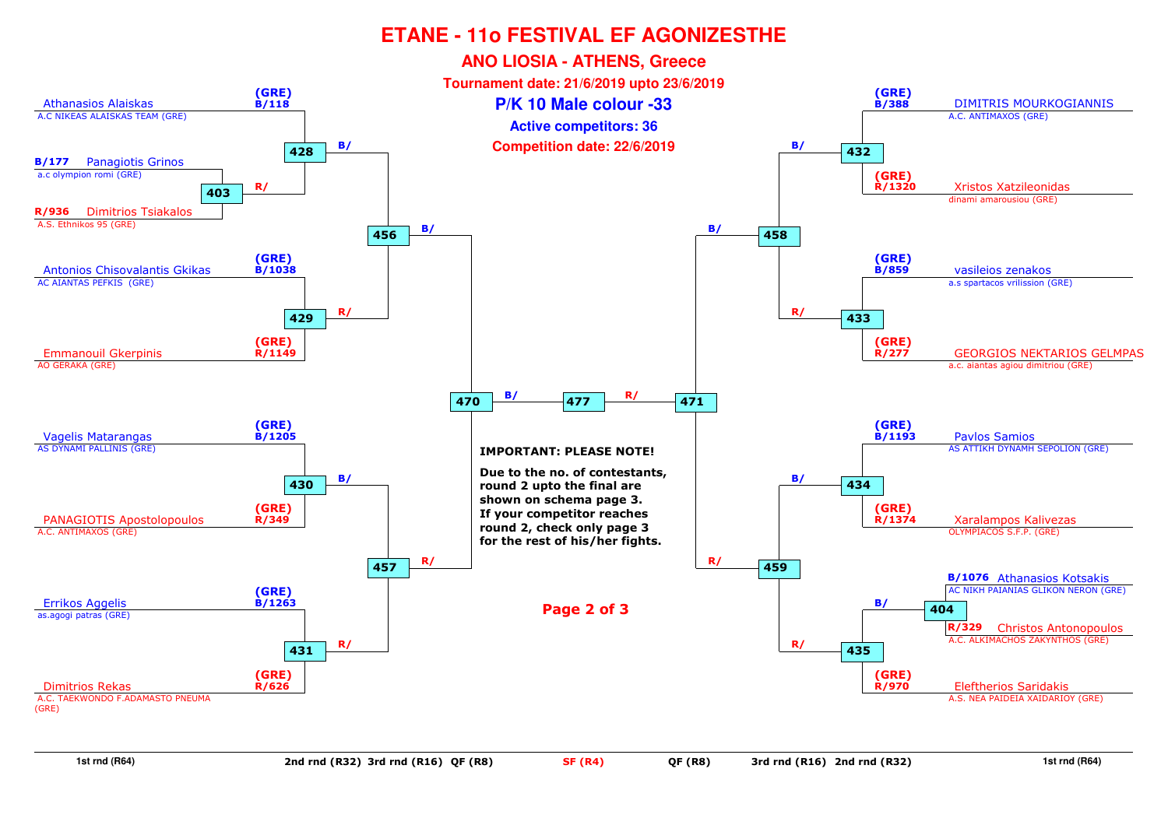

**1st rnd (R64)**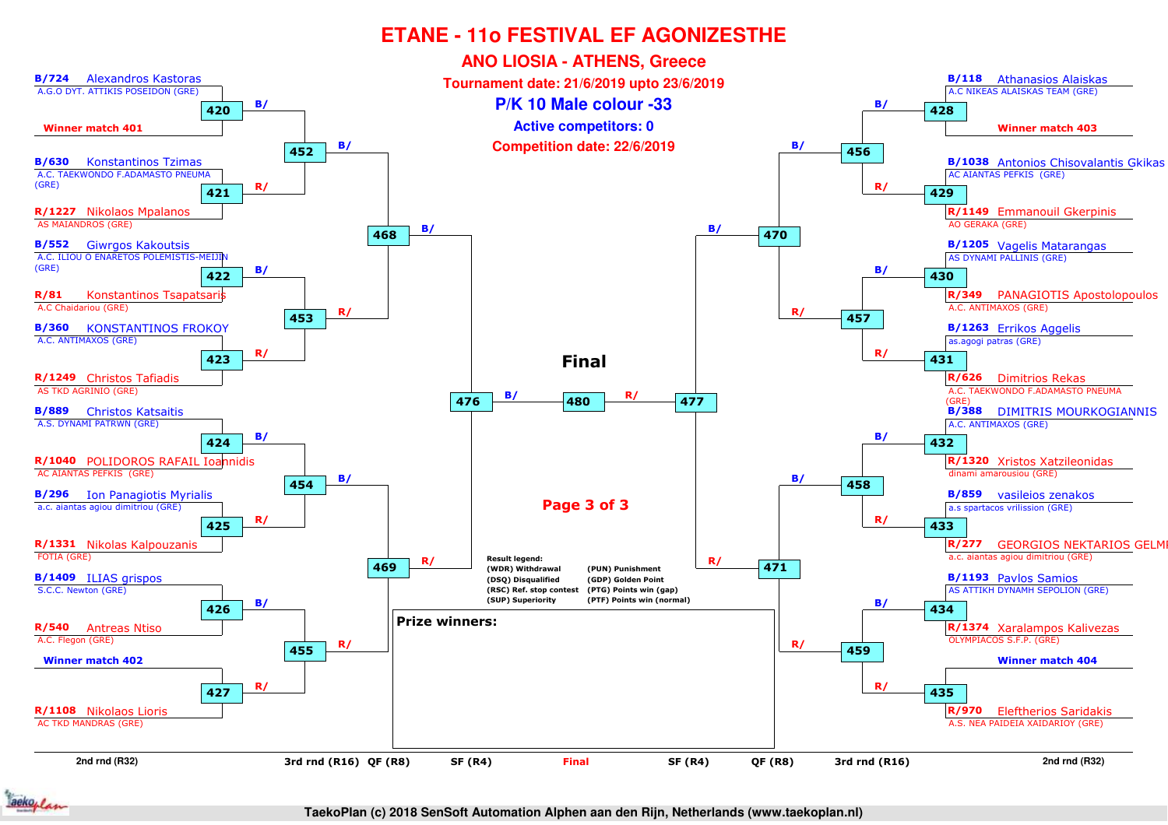

**TaekoPlan (c) 2018 SenSoft Automation Alphen aan den Rijn, Netherlands (www.taekoplan.nl)**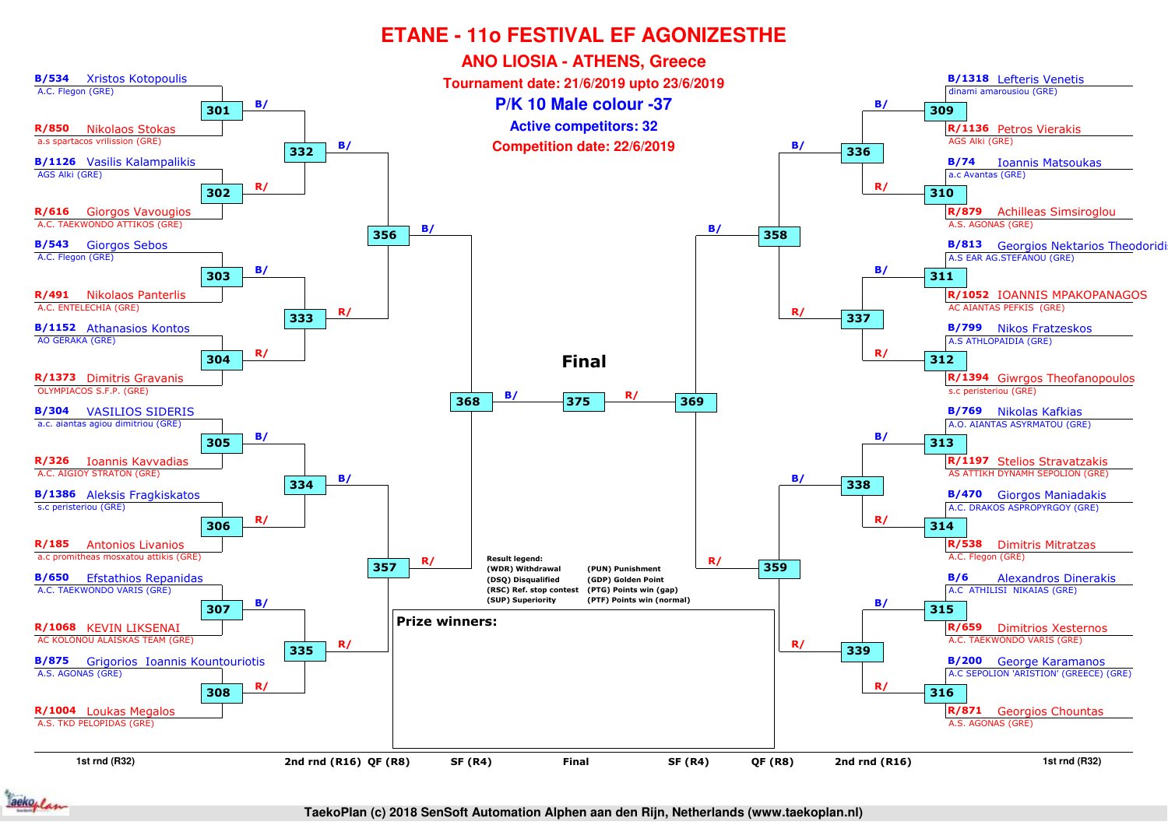

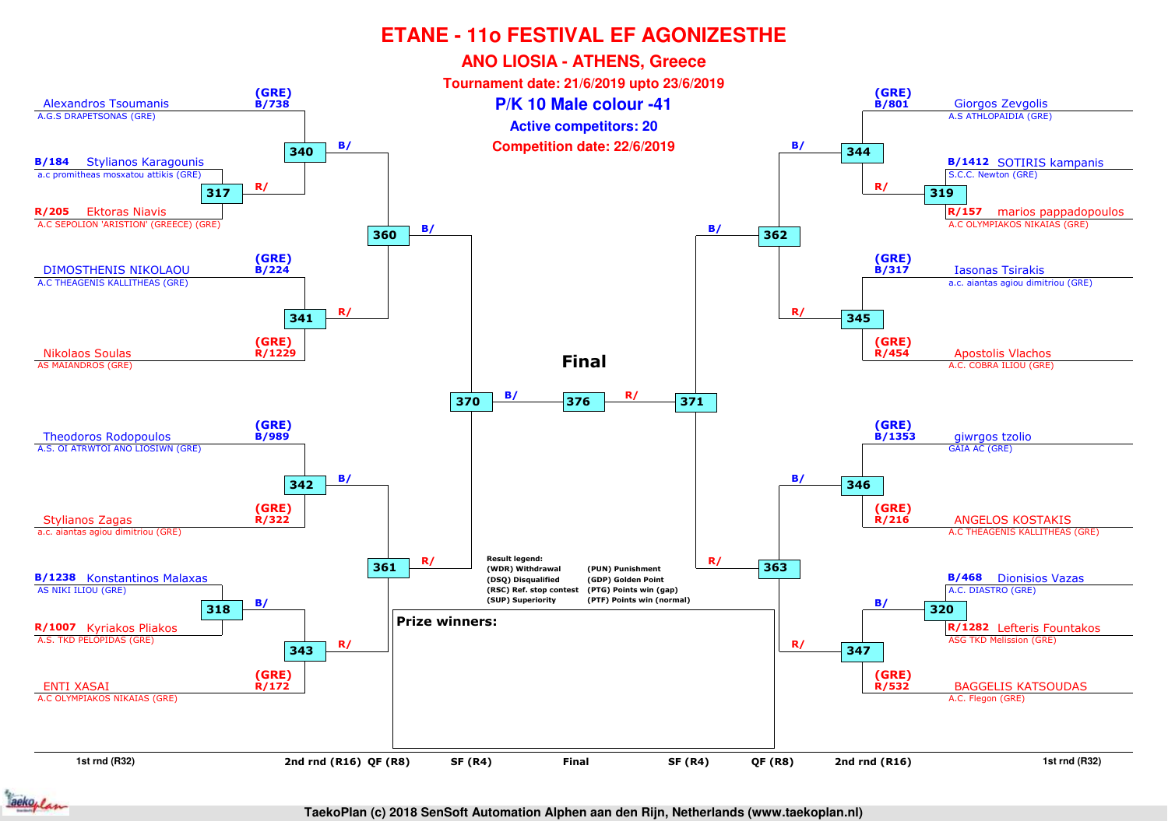

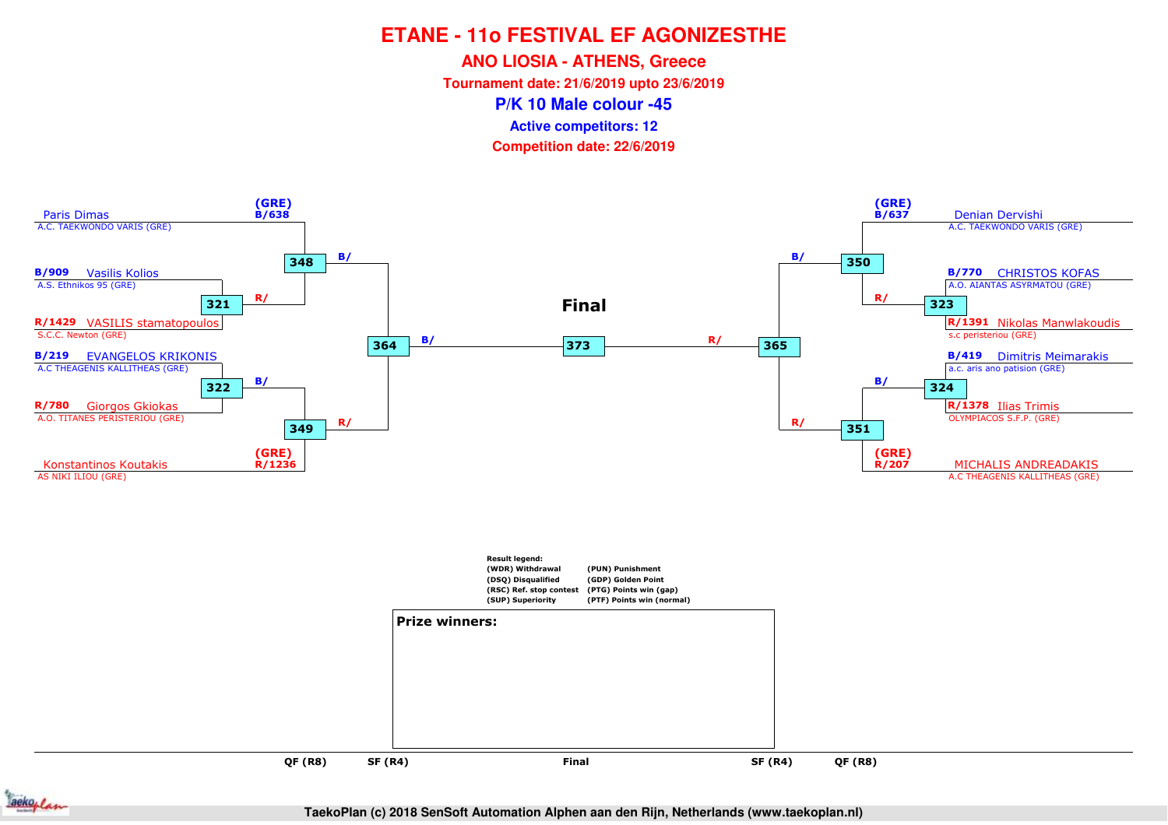**ANO LIOSIA - ATHENS, Greece**

**Tournament date: 21/6/2019 upto 23/6/2019**

**P/K 10 Male colour -45**

**Active competitors: 12**

**Competition date: 22/6/2019**



**QF (R8)**



**TaekoPlan (c) 2018 SenSoft Automation Alphen aan den Rijn, Netherlands (www.taekoplan.nl)**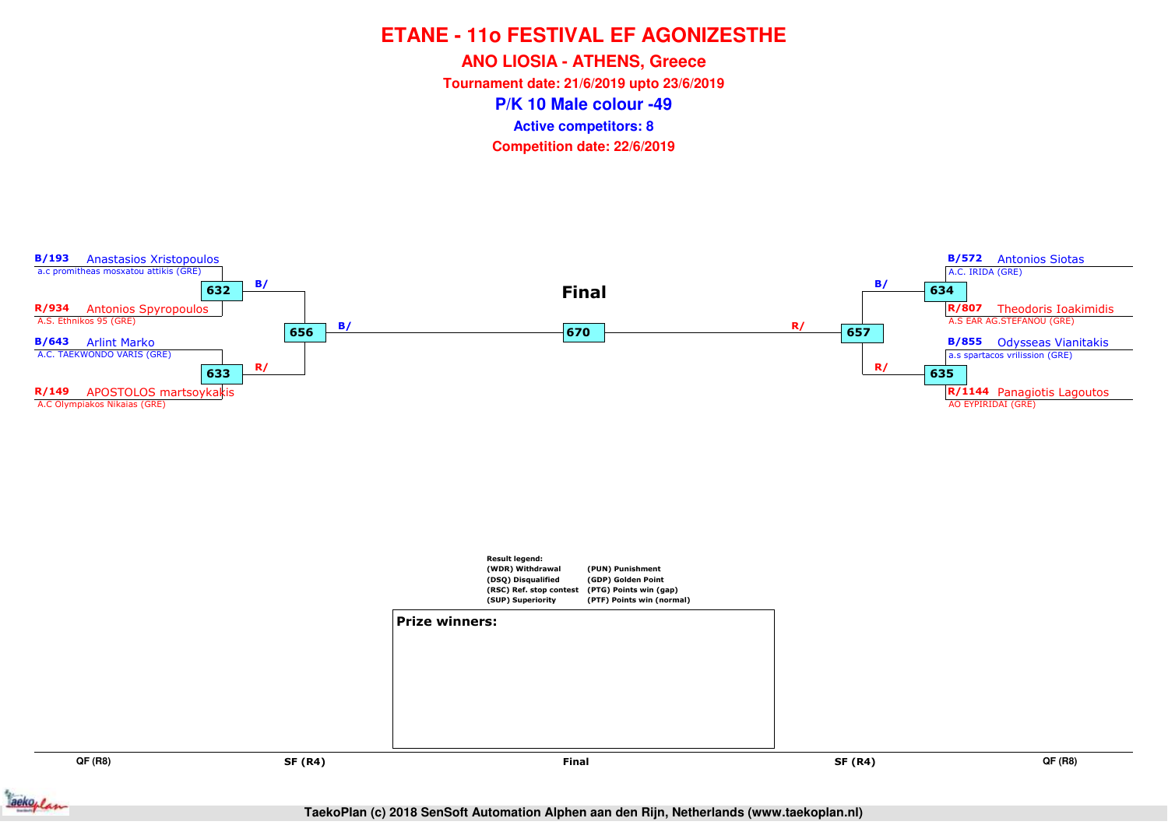**ANO LIOSIA - ATHENS, Greece**

**Tournament date: 21/6/2019 upto 23/6/2019**

**P/K 10 Male colour -49**

**Active competitors: 8**

**Competition date: 22/6/2019**



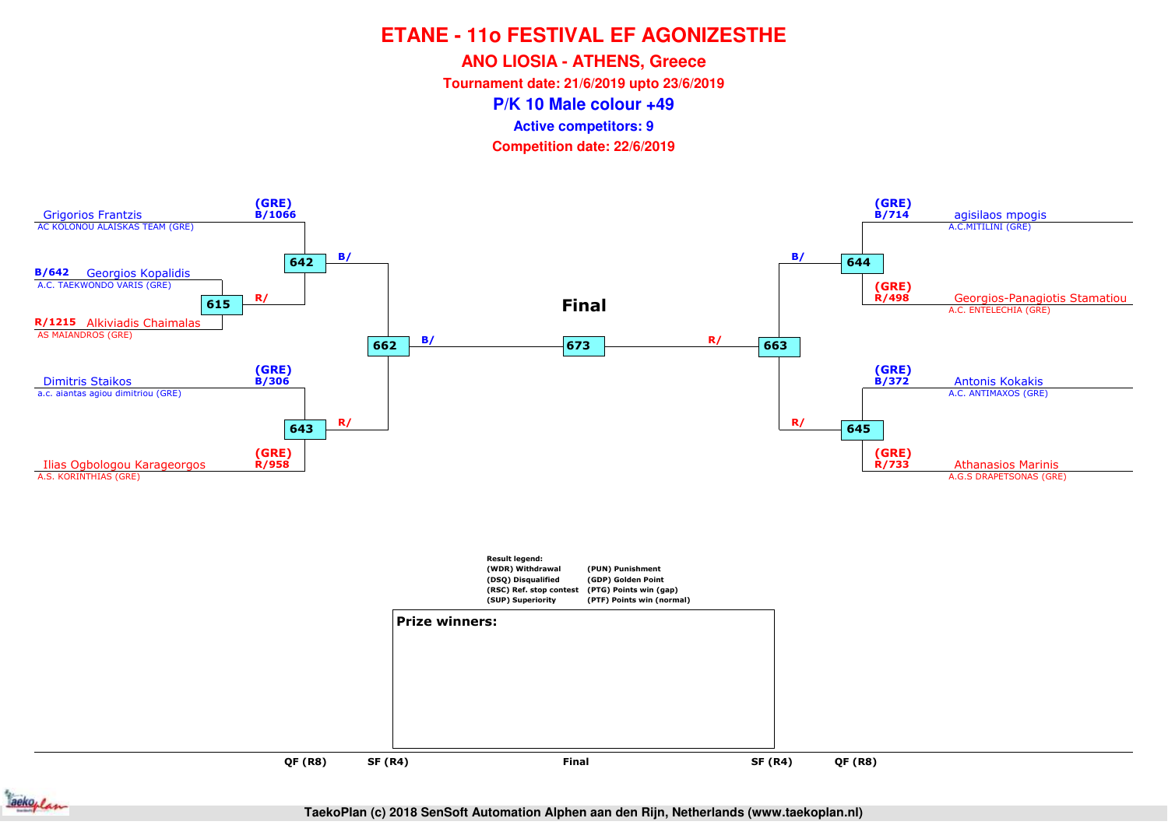**ANO LIOSIA - ATHENS, Greece**

**Tournament date: 21/6/2019 upto 23/6/2019**

**P/K 10 Male colour +49**

**Active competitors: 9**

**Competition date: 22/6/2019**





**TaekoPlan (c) 2018 SenSoft Automation Alphen aan den Rijn, Netherlands (www.taekoplan.nl)**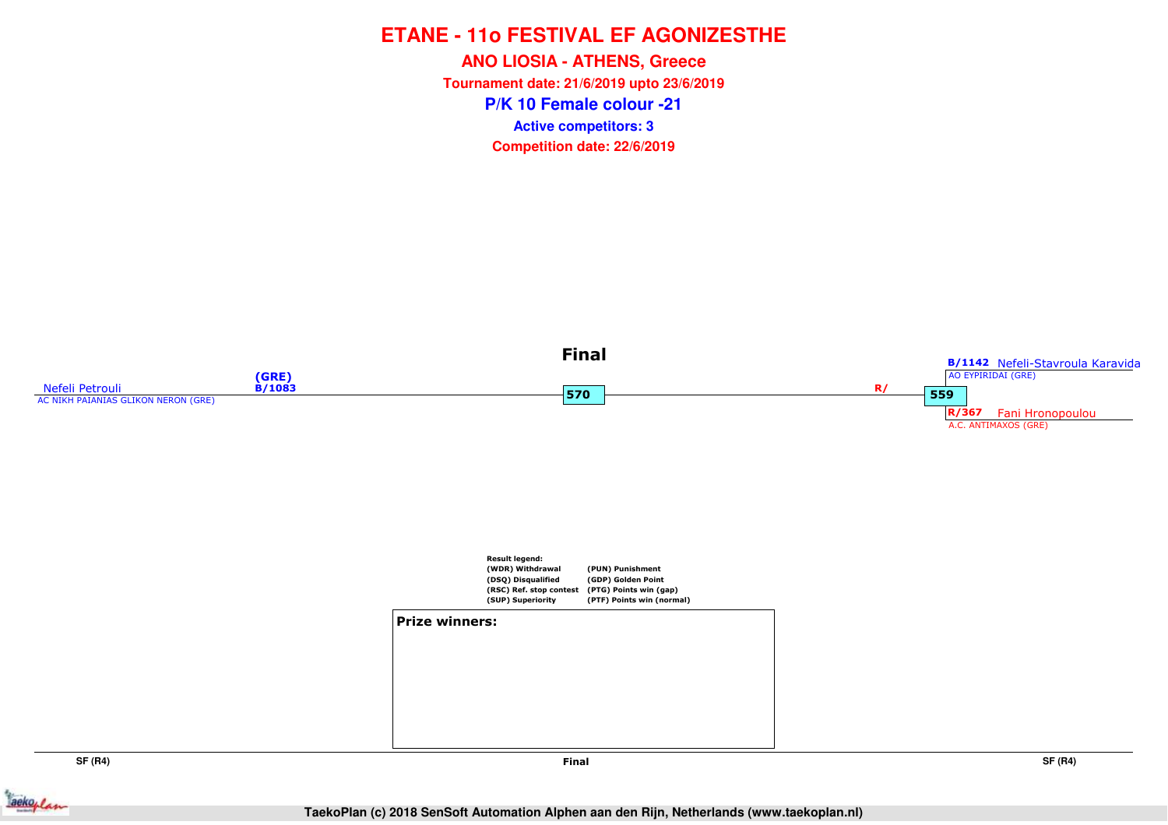**P/K 10 Female colour -21ANO LIOSIA - ATHENS, Greece Tournament date: 21/6/2019 upto 23/6/2019Competition date: 22/6/2019 Active competitors: 3**



**SF (R4)**



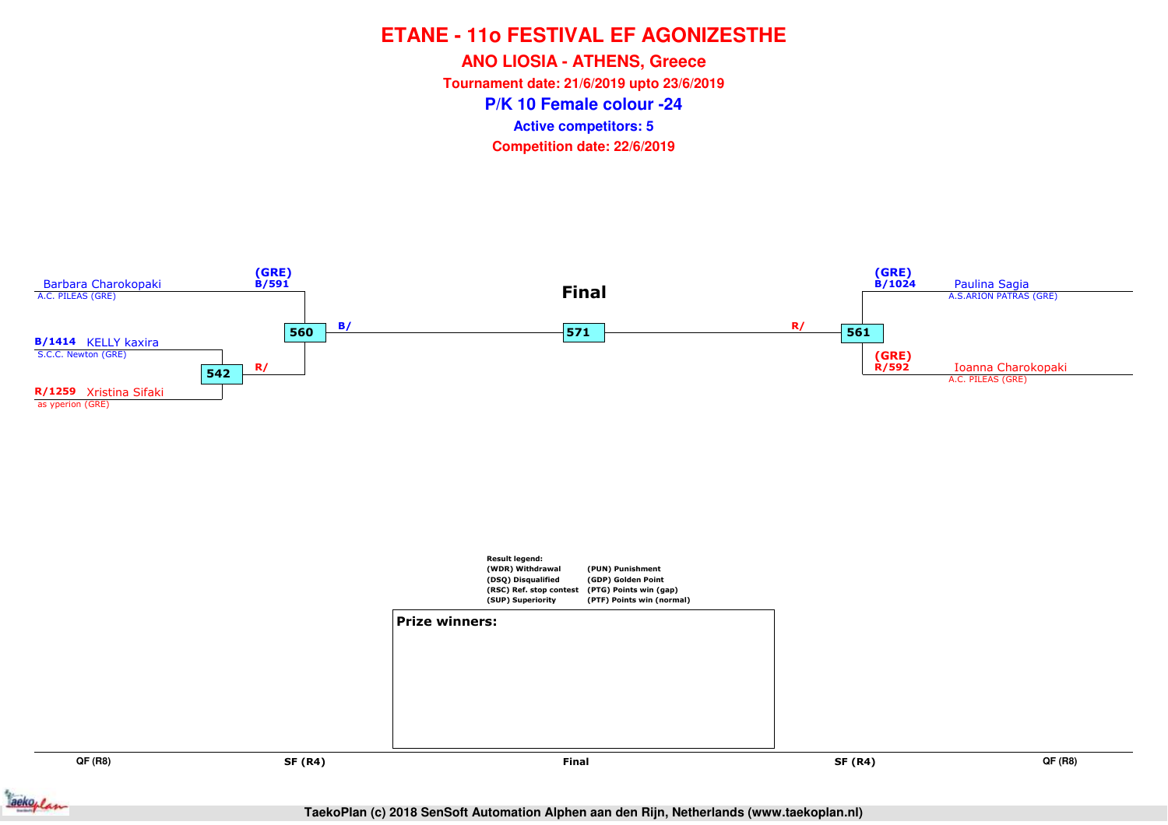**ANO LIOSIA - ATHENS, Greece**

**Tournament date: 21/6/2019 upto 23/6/2019**

**P/K 10 Female colour -24**

**Active competitors: 5**

**Competition date: 22/6/2019**



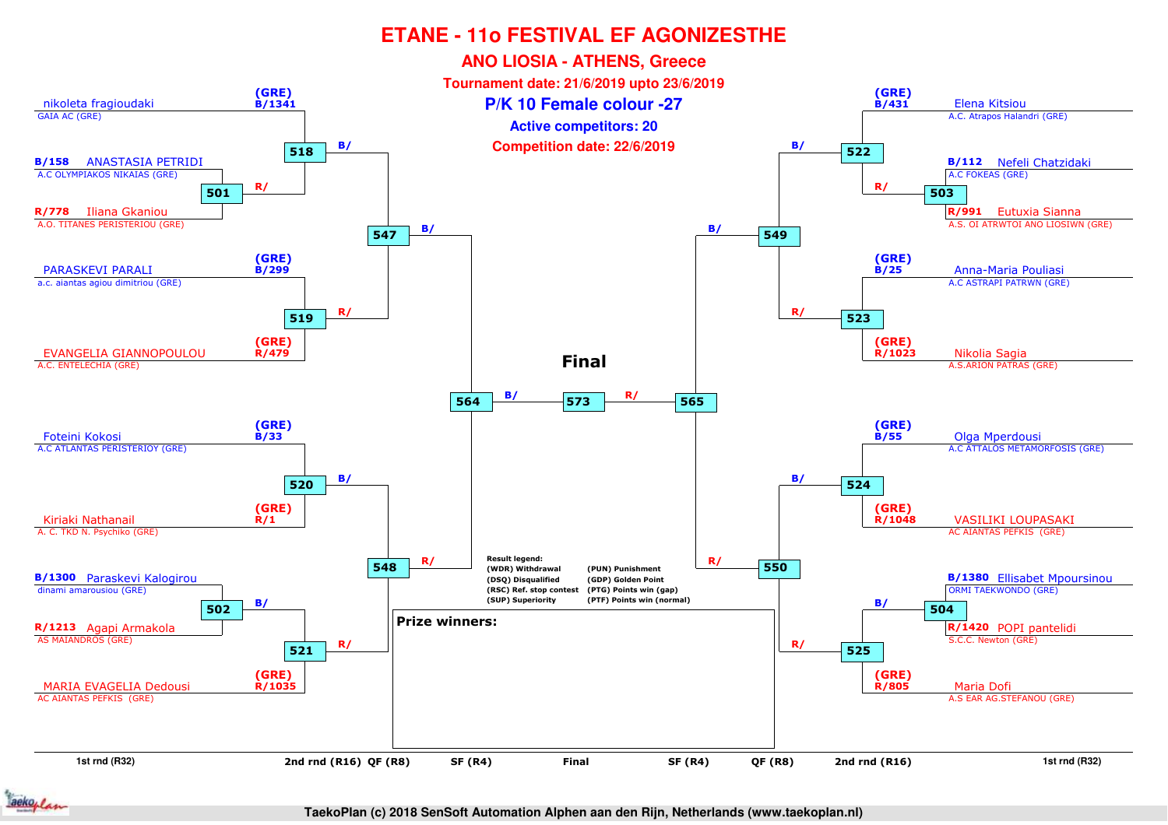

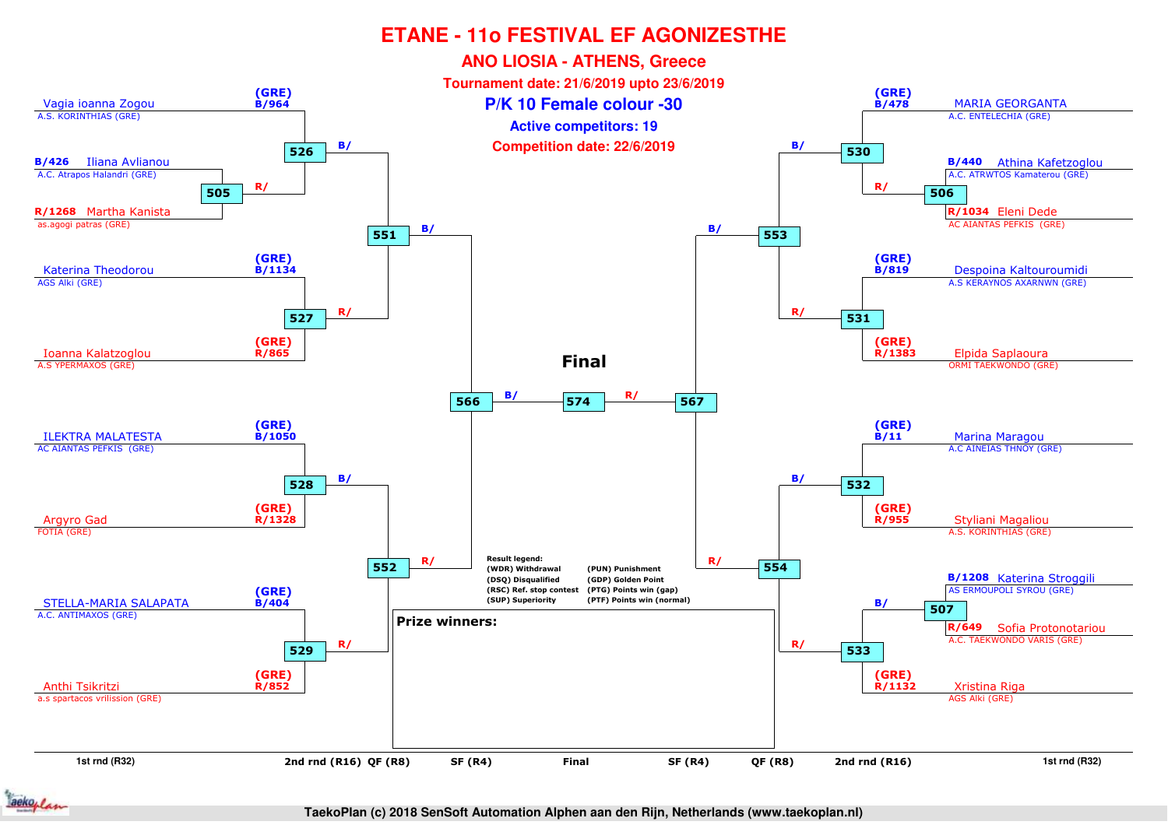

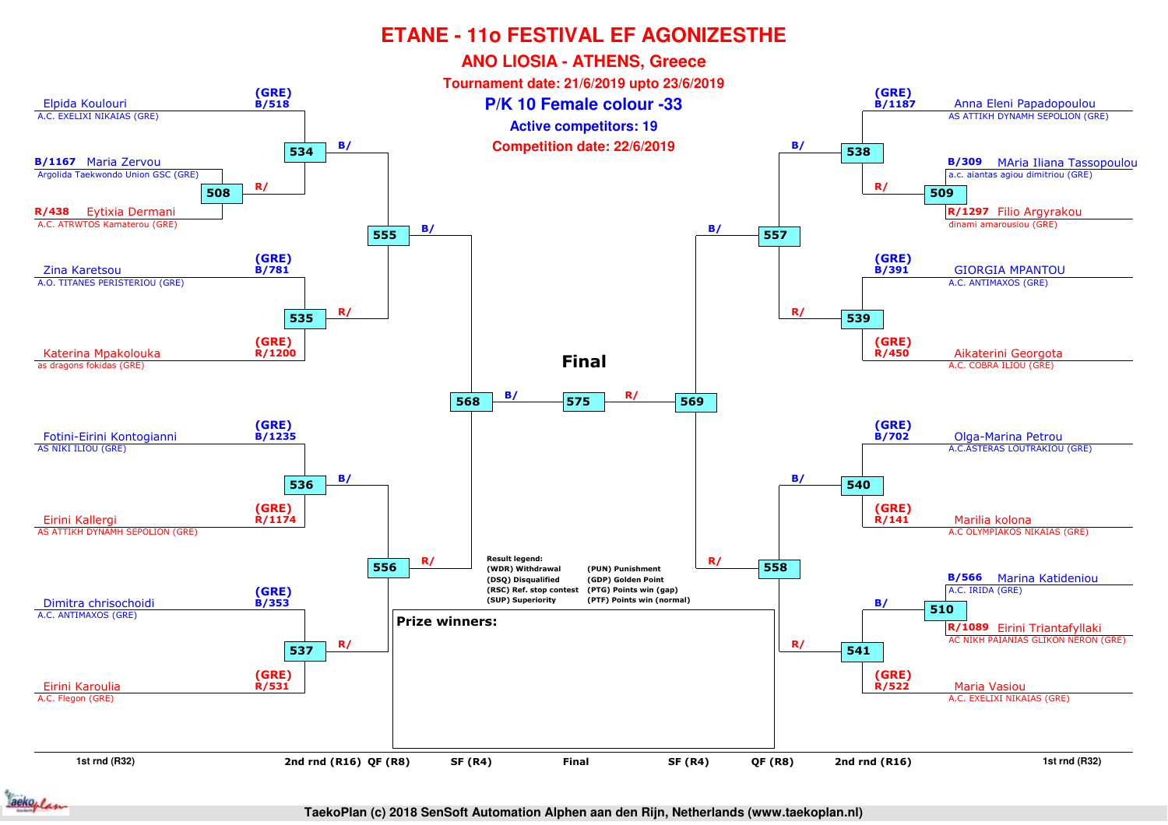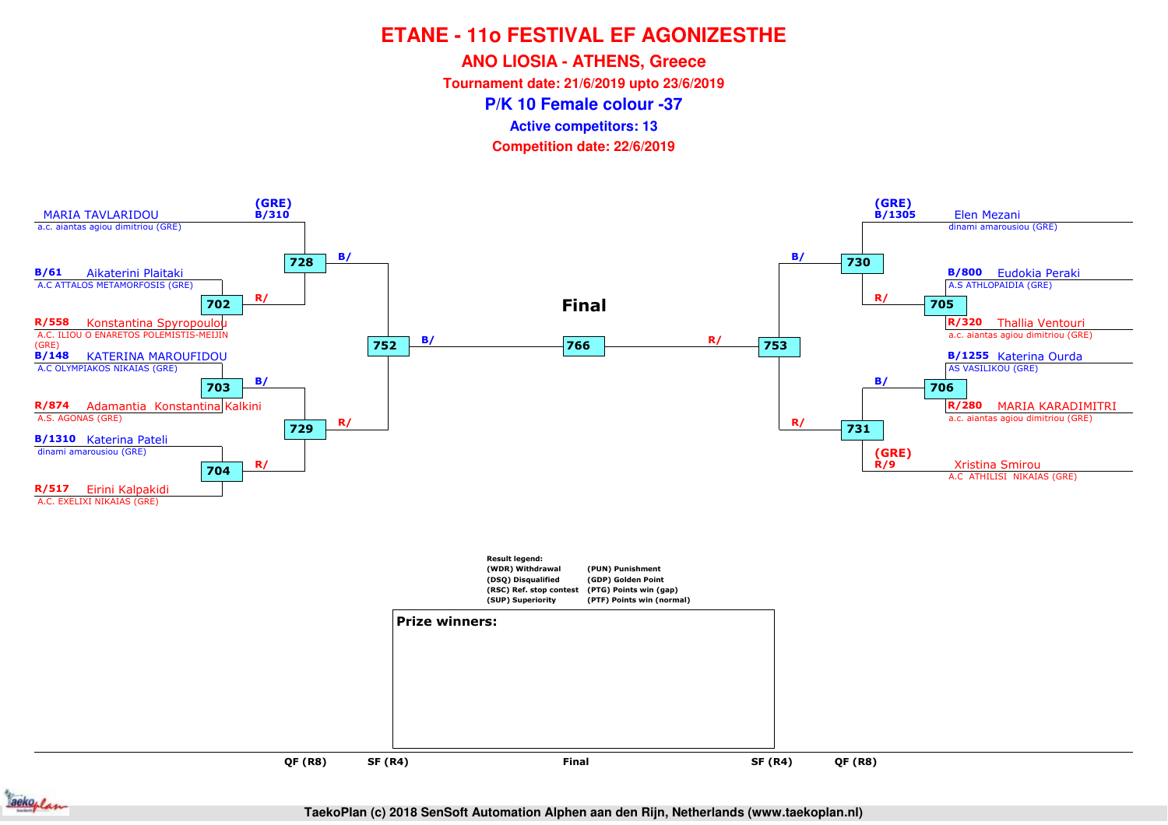**ANO LIOSIA - ATHENS, Greece**

**Tournament date: 21/6/2019 upto 23/6/2019**

**P/K 10 Female colour -37**

**Active competitors: 13**

**Competition date: 22/6/2019**





**TaekoPlan (c) 2018 SenSoft Automation Alphen aan den Rijn, Netherlands (www.taekoplan.nl)**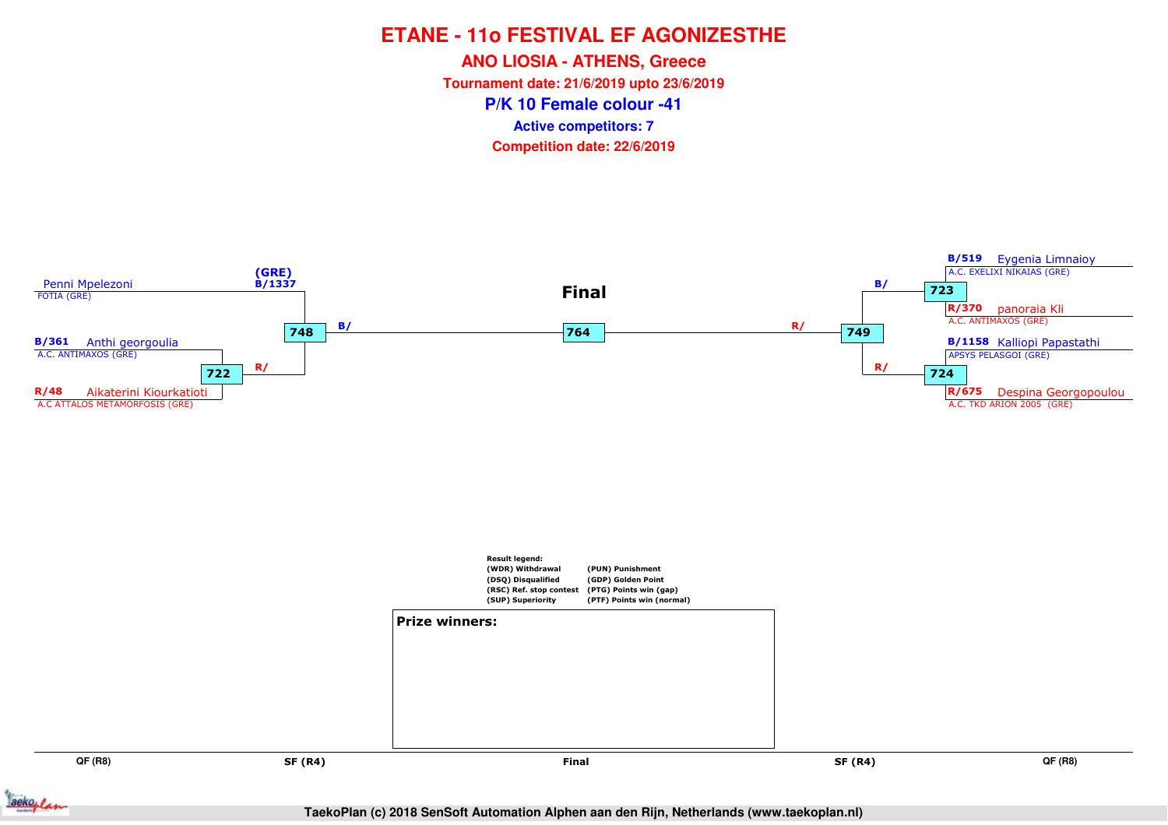**ANO LIOSIA - ATHENS, Greece**

**Tournament date: 21/6/2019 upto 23/6/2019**

**P/K 10 Female colour -41**

**Active competitors: 7**

**Competition date: 22/6/2019**



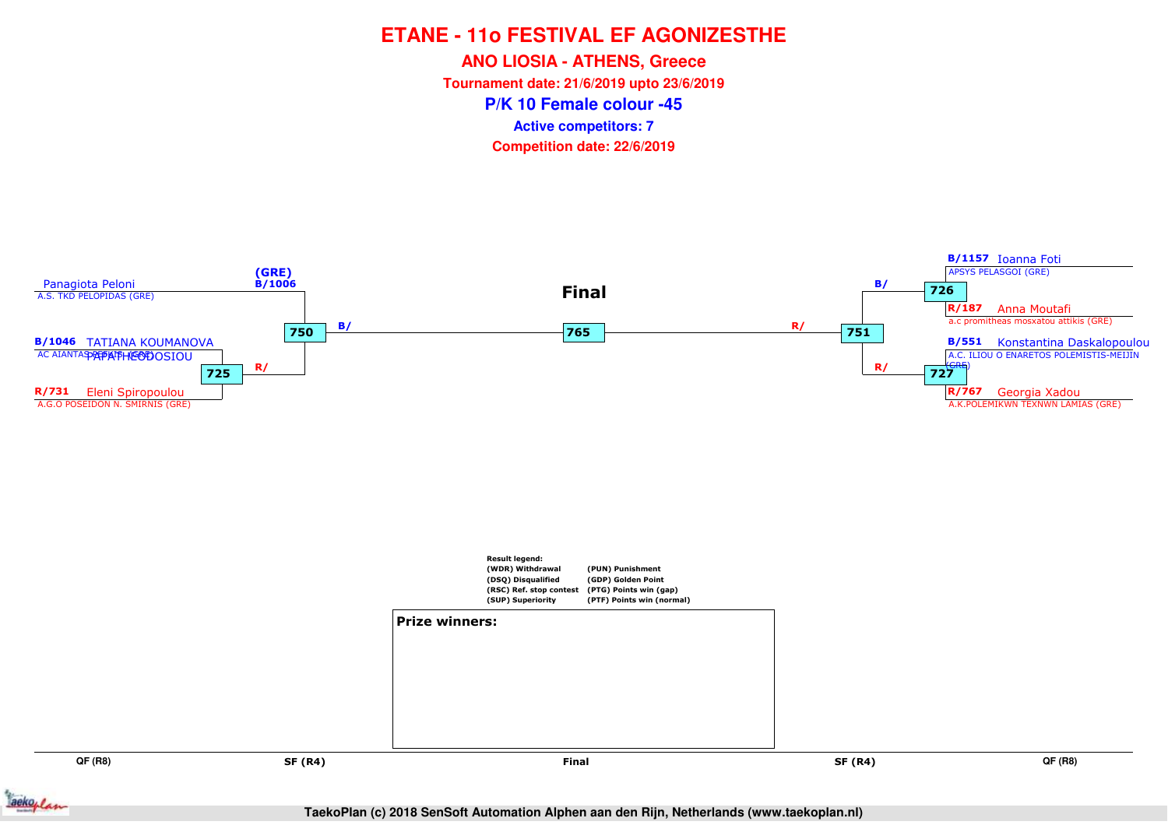**ANO LIOSIA - ATHENS, Greece**

**Tournament date: 21/6/2019 upto 23/6/2019**

**P/K 10 Female colour -45**

**Active competitors: 7**

**Competition date: 22/6/2019**



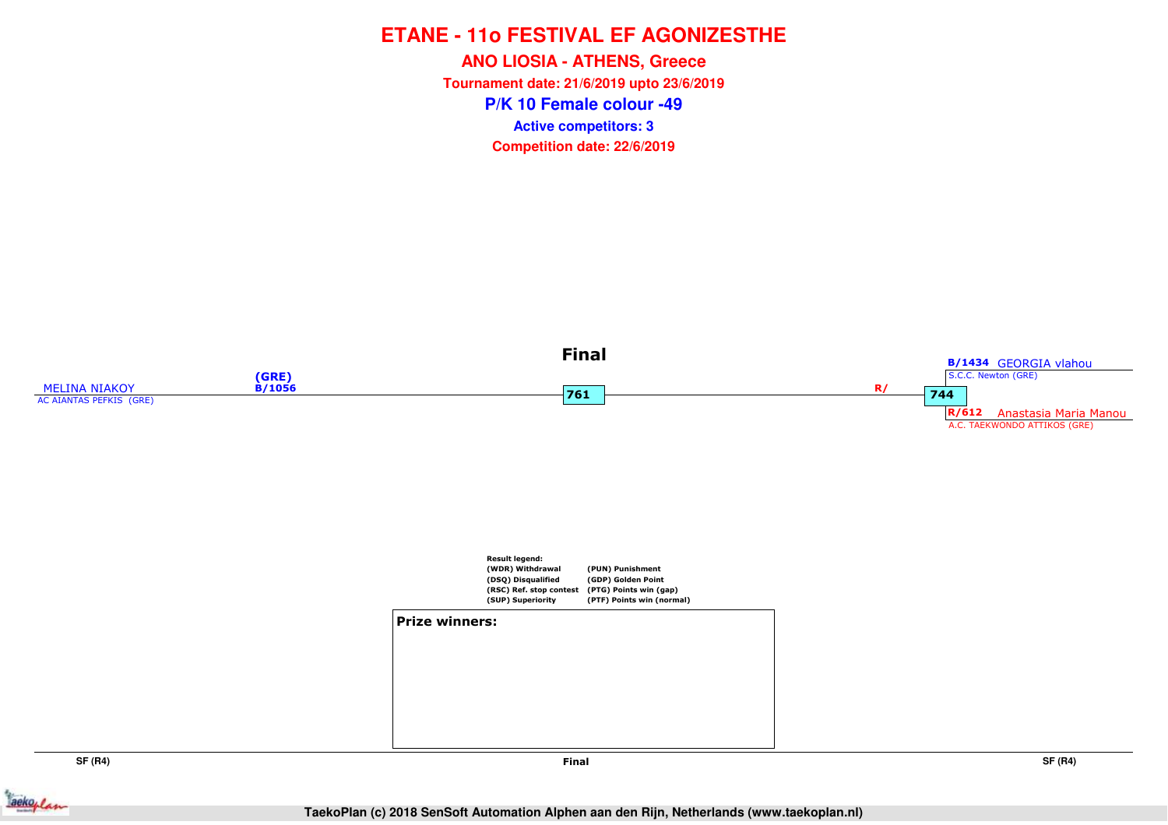**P/K 10 Female colour -49ANO LIOSIA - ATHENS, Greece Tournament date: 21/6/2019 upto 23/6/2019Competition date: 22/6/2019 Active competitors: 3**



**SF (R4)**



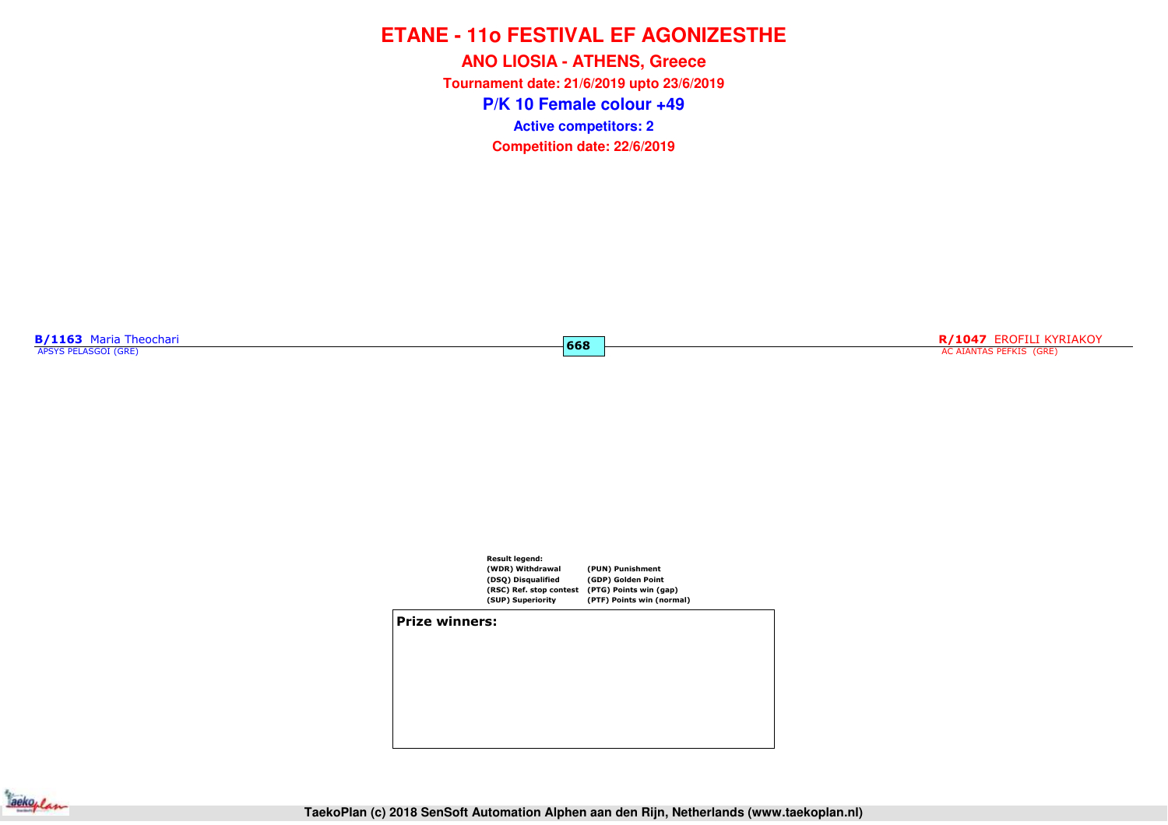**P/K 10 Female colour +49ANO LIOSIA - ATHENS, Greece Tournament date: 21/6/2019 upto 23/6/2019Competition date: 22/6/2019 Active competitors: 2**

**B/1163** Maria Theochari<br>APSYS PELASGOI (GRE)

**R/1047** EROFILI KYRIAKOY AC AIANTAS PEFKIS (GRE)



**668**

#### **Prize winners:**

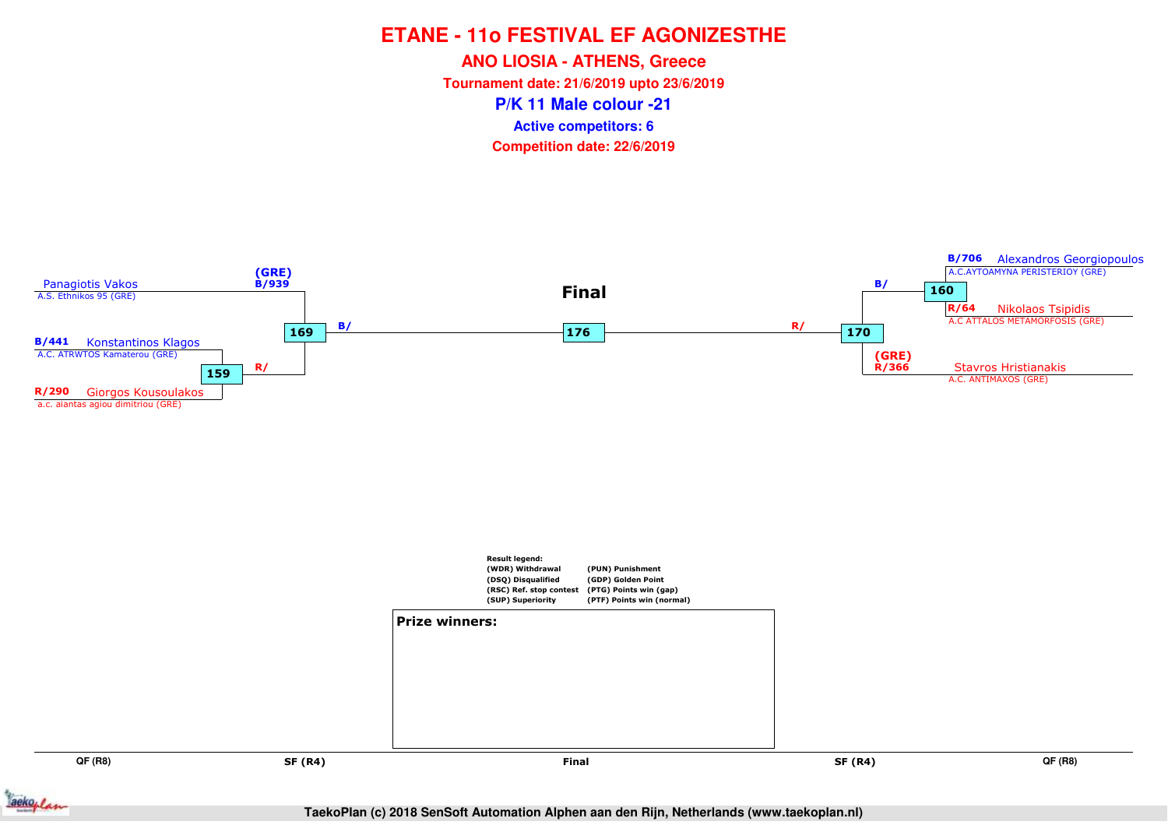**ANO LIOSIA - ATHENS, Greece**

**Tournament date: 21/6/2019 upto 23/6/2019**

**P/K 11 Male colour -21**

**Active competitors: 6**

**Competition date: 22/6/2019**



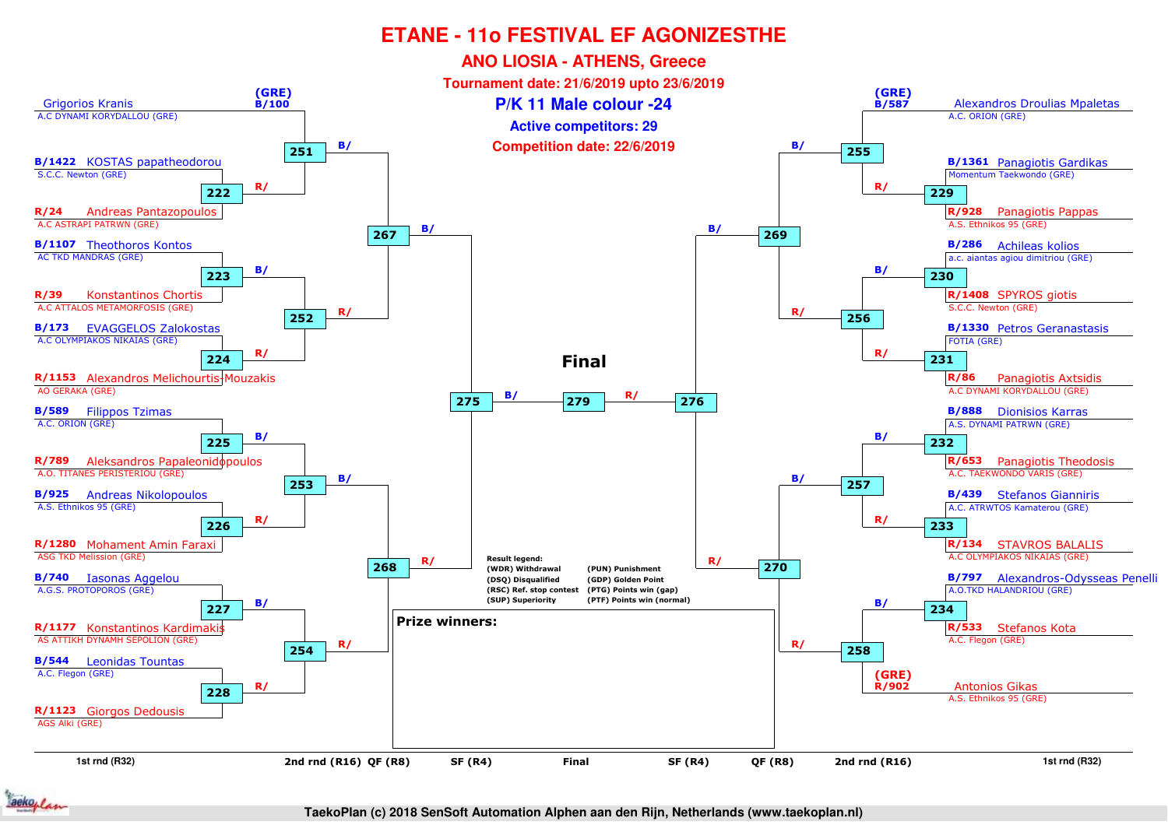

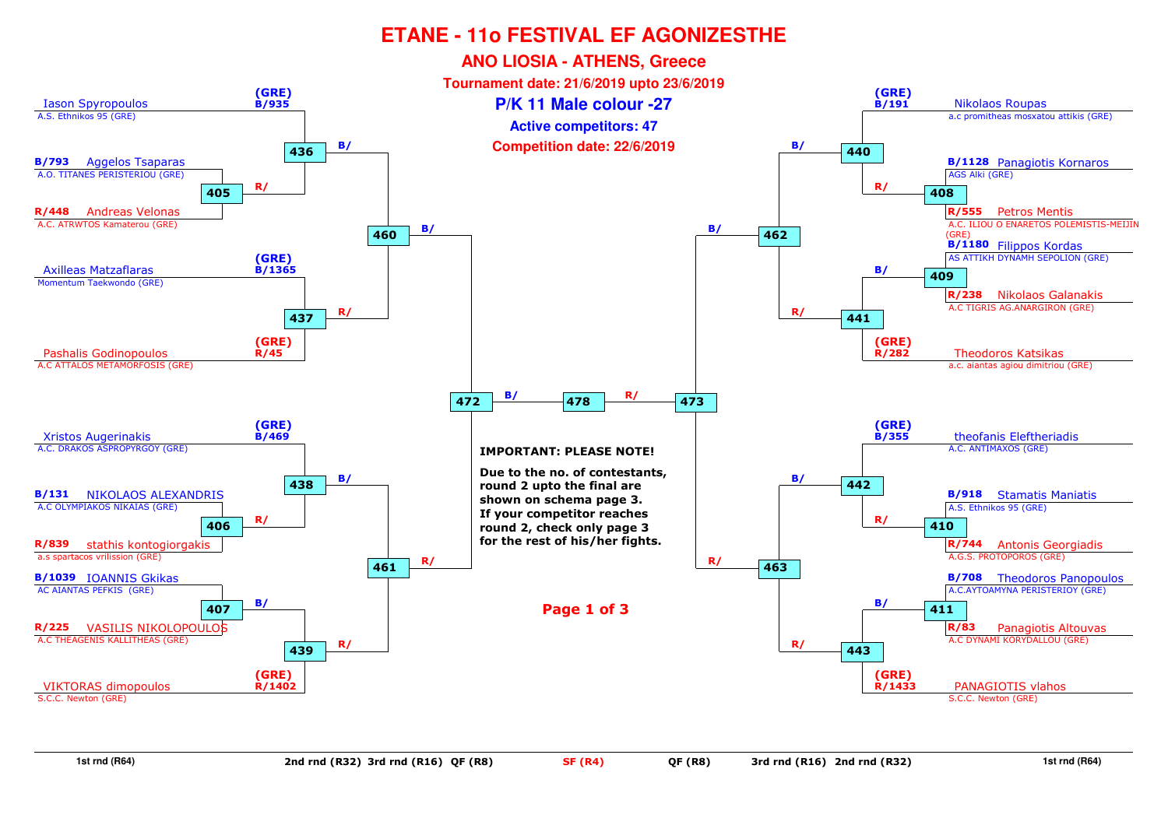

**1st rnd (R64)**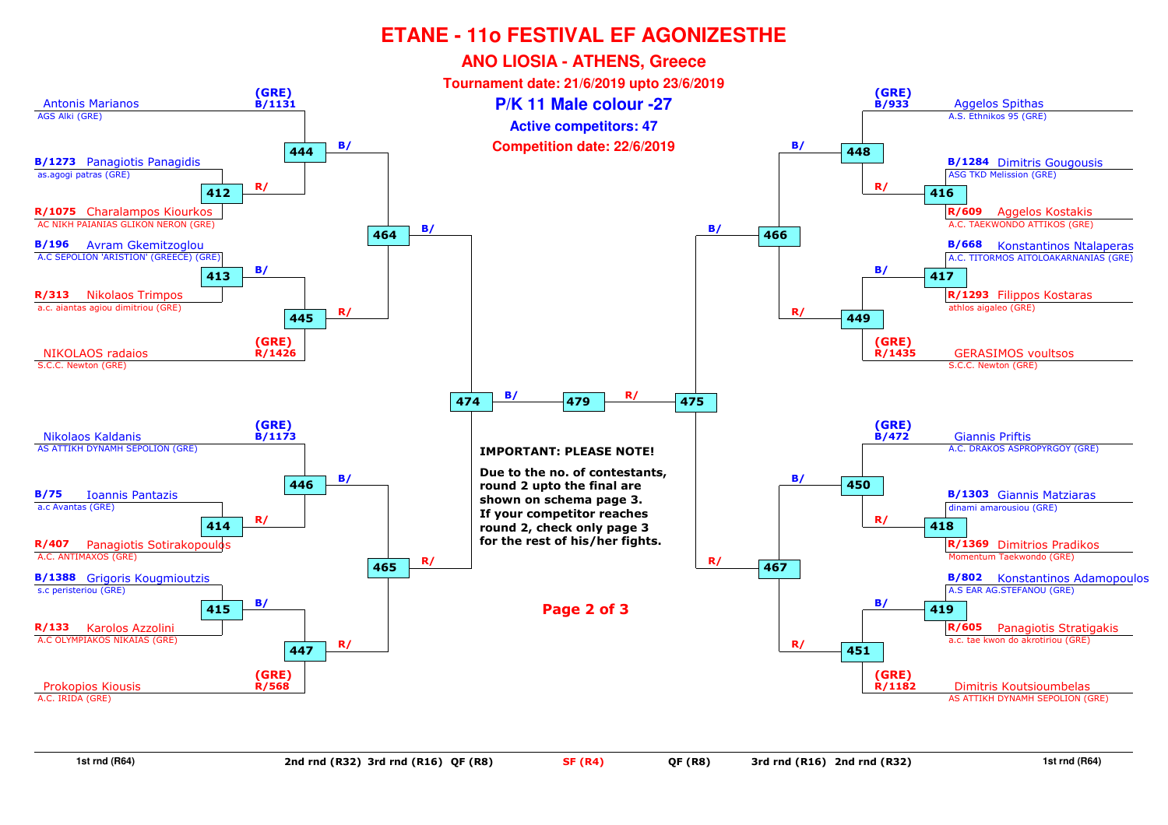

**1st rnd (R64)**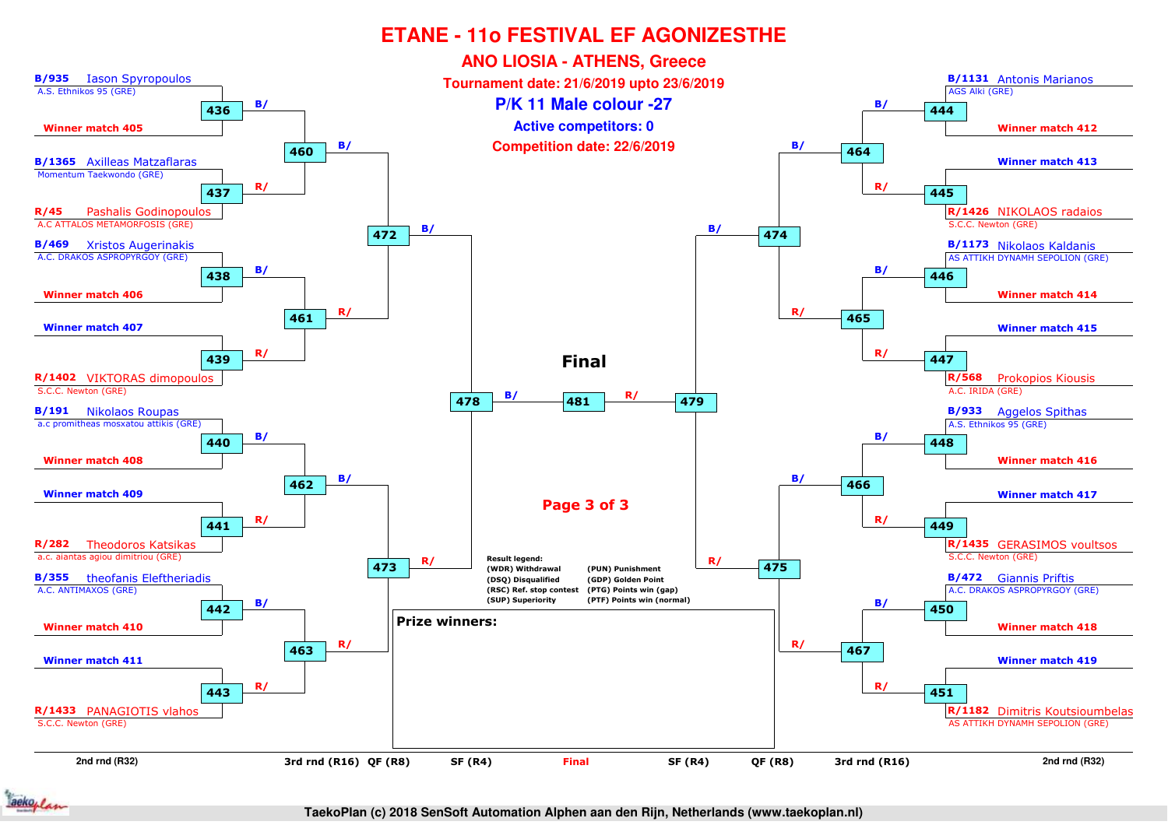

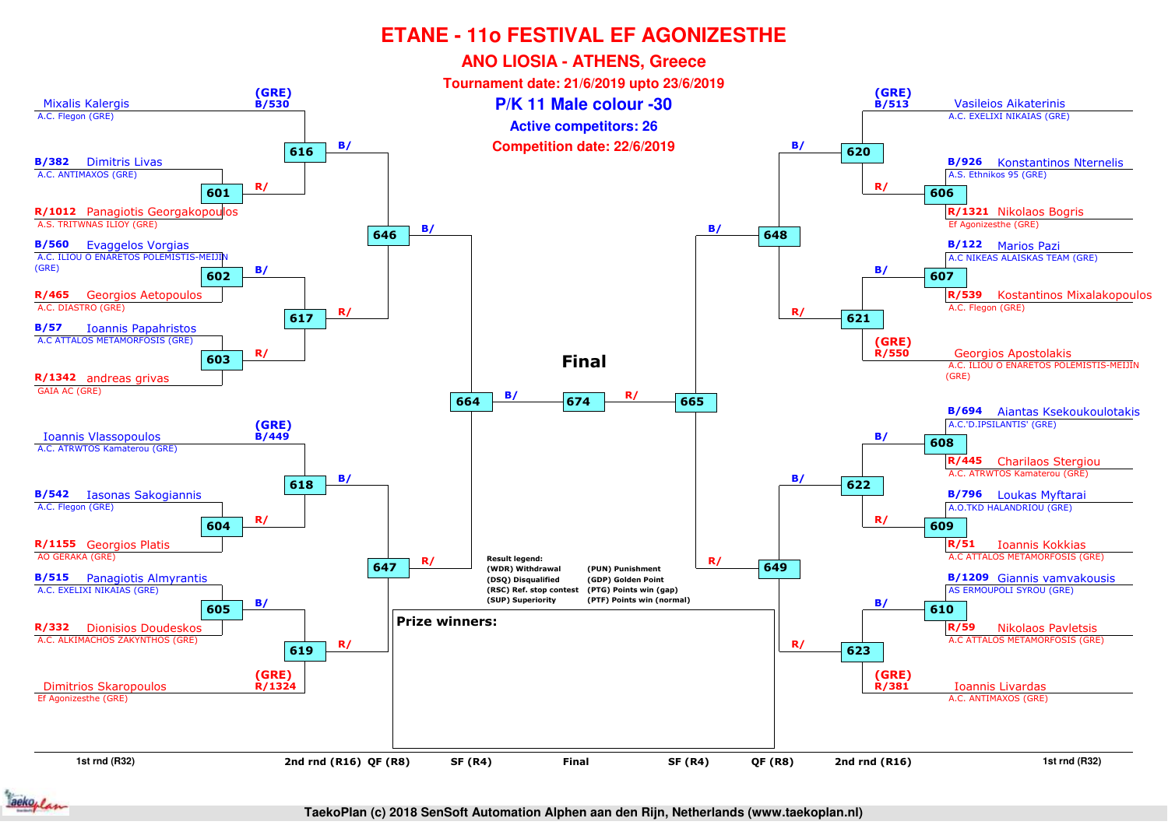

**TaekoPlan (c) 2018 SenSoft Automation Alphen aan den Rijn, Netherlands (www.taekoplan.nl)**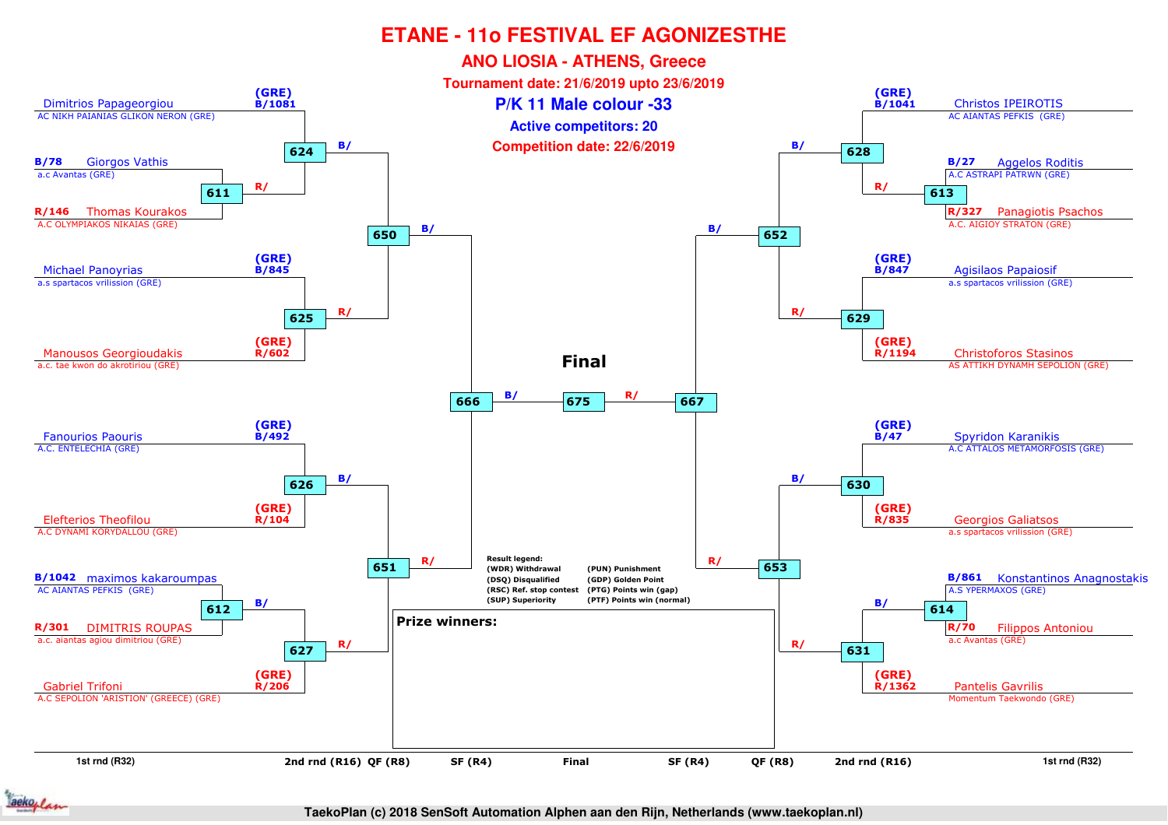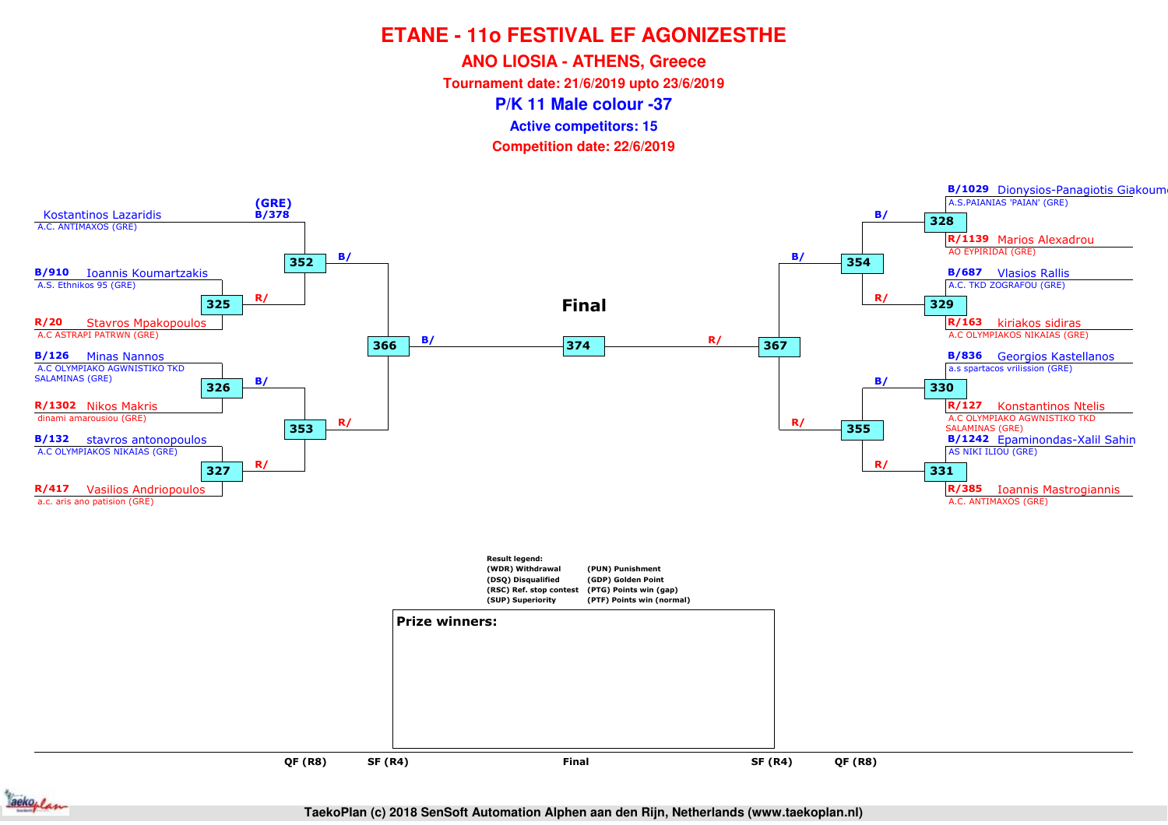**ANO LIOSIA - ATHENS, Greece**

**Tournament date: 21/6/2019 upto 23/6/2019**

**P/K 11 Male colour -37**

**Active competitors: 15**

**Competition date: 22/6/2019**





**TaekoPlan (c) 2018 SenSoft Automation Alphen aan den Rijn, Netherlands (www.taekoplan.nl)**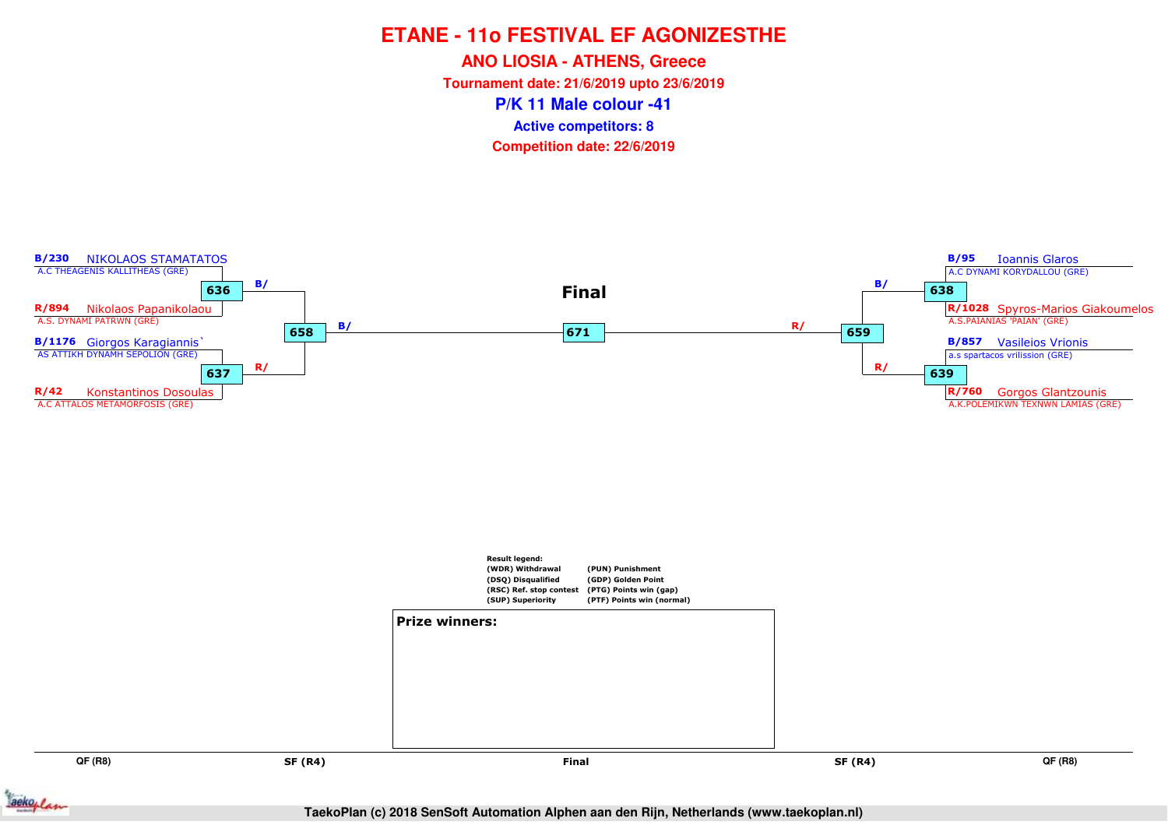**ANO LIOSIA - ATHENS, Greece**

**Tournament date: 21/6/2019 upto 23/6/2019**

**P/K 11 Male colour -41**

**Active competitors: 8**

**Competition date: 22/6/2019**



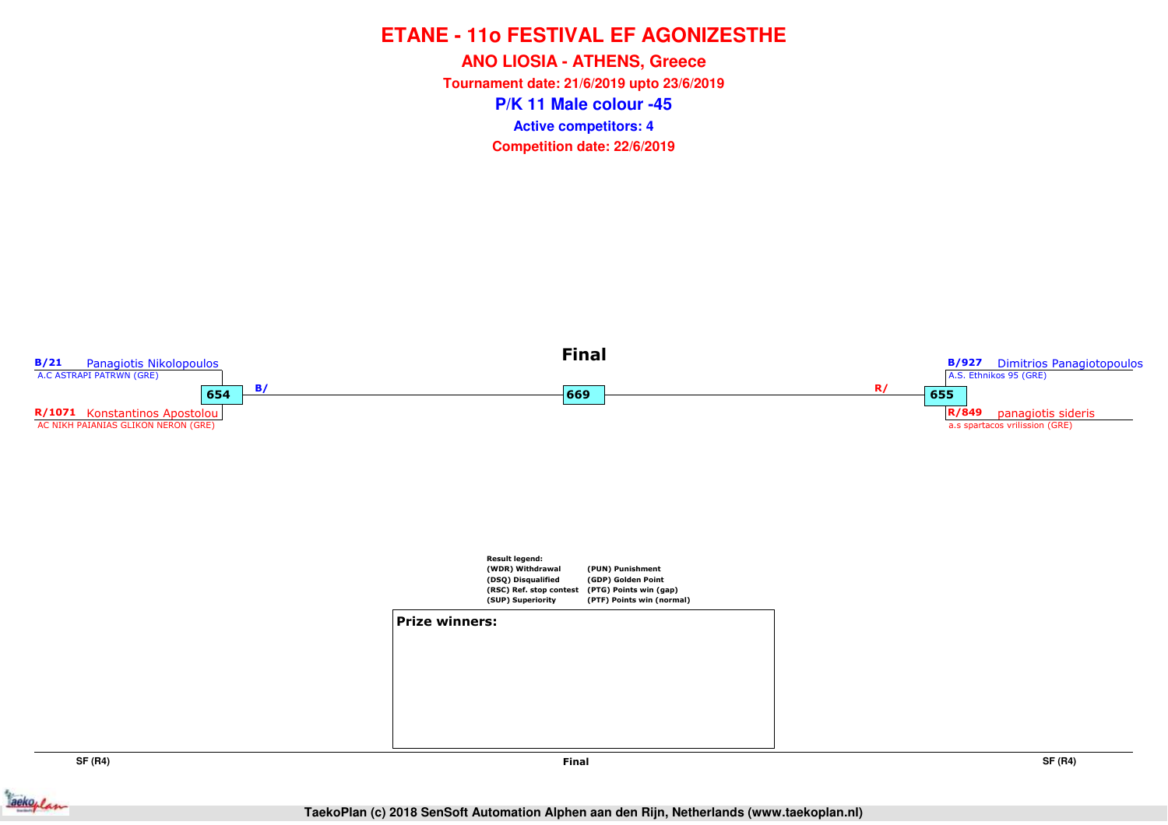**P/K 11 Male colour -45ANO LIOSIA - ATHENS, Greece Tournament date: 21/6/2019 upto 23/6/2019Competition date: 22/6/2019 Active competitors: 4**



**SF (R4)**

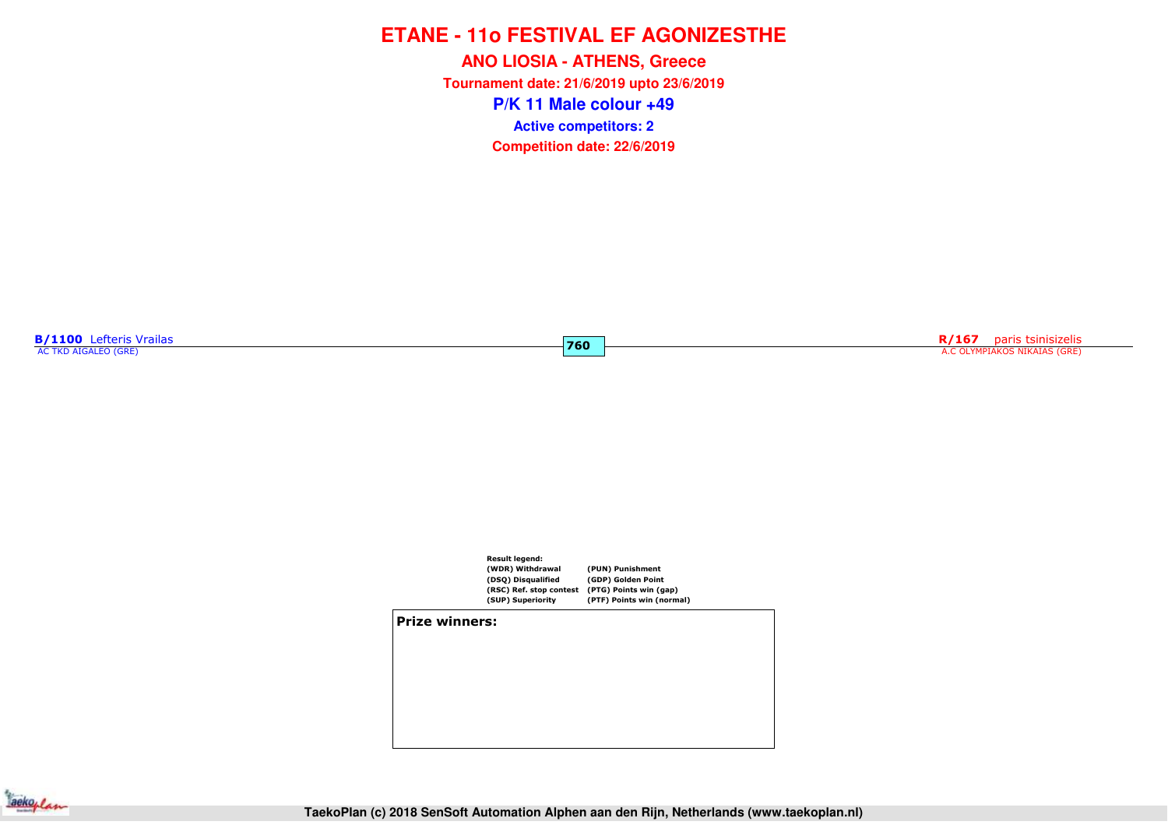**P/K 11 Male colour +49ANO LIOSIA - ATHENS, Greece Tournament date: 21/6/2019 upto 23/6/2019Competition date: 22/6/2019 Active competitors: 2**

**760**

**B/1100** Lefteris Vrailas

**R/167** paris tsinisizelis A.C OLYMPIAKOS NIKAIAS (GRE)



**Prize winners:**

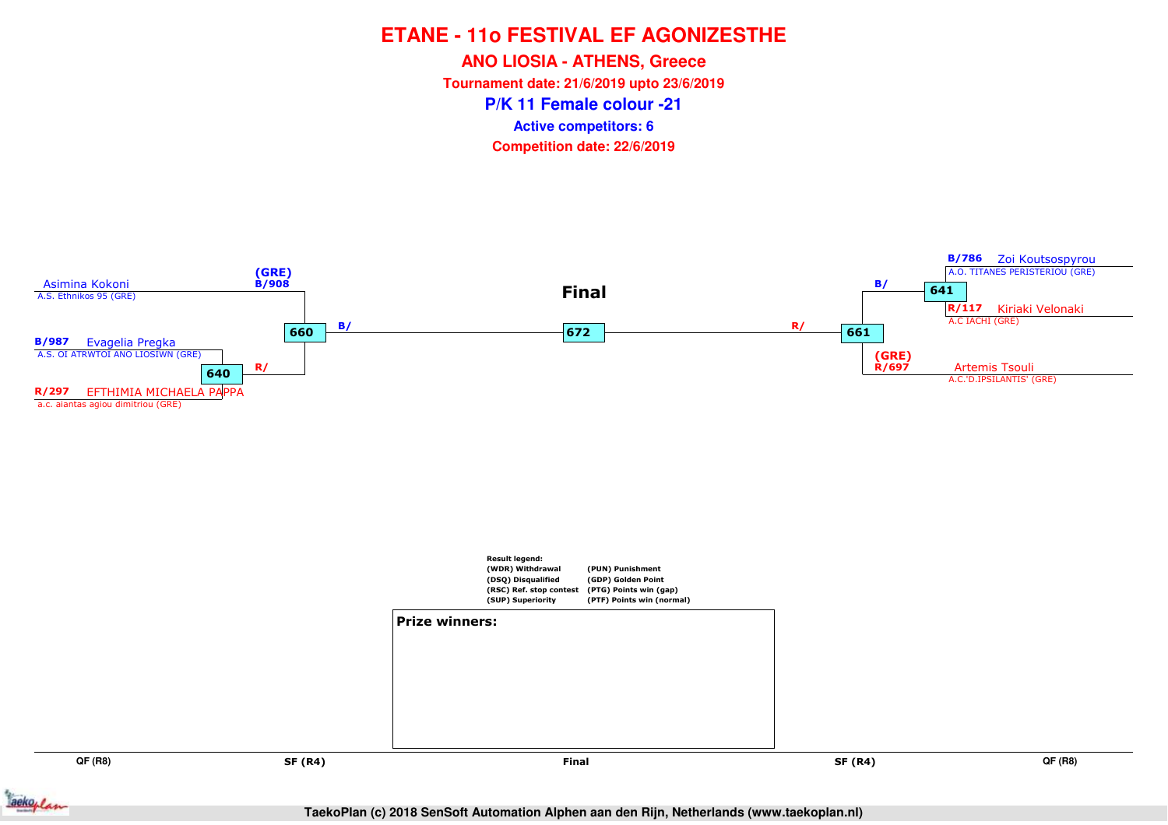**ANO LIOSIA - ATHENS, Greece**

**Tournament date: 21/6/2019 upto 23/6/2019**

**P/K 11 Female colour -21**

**Active competitors: 6**

**Competition date: 22/6/2019**



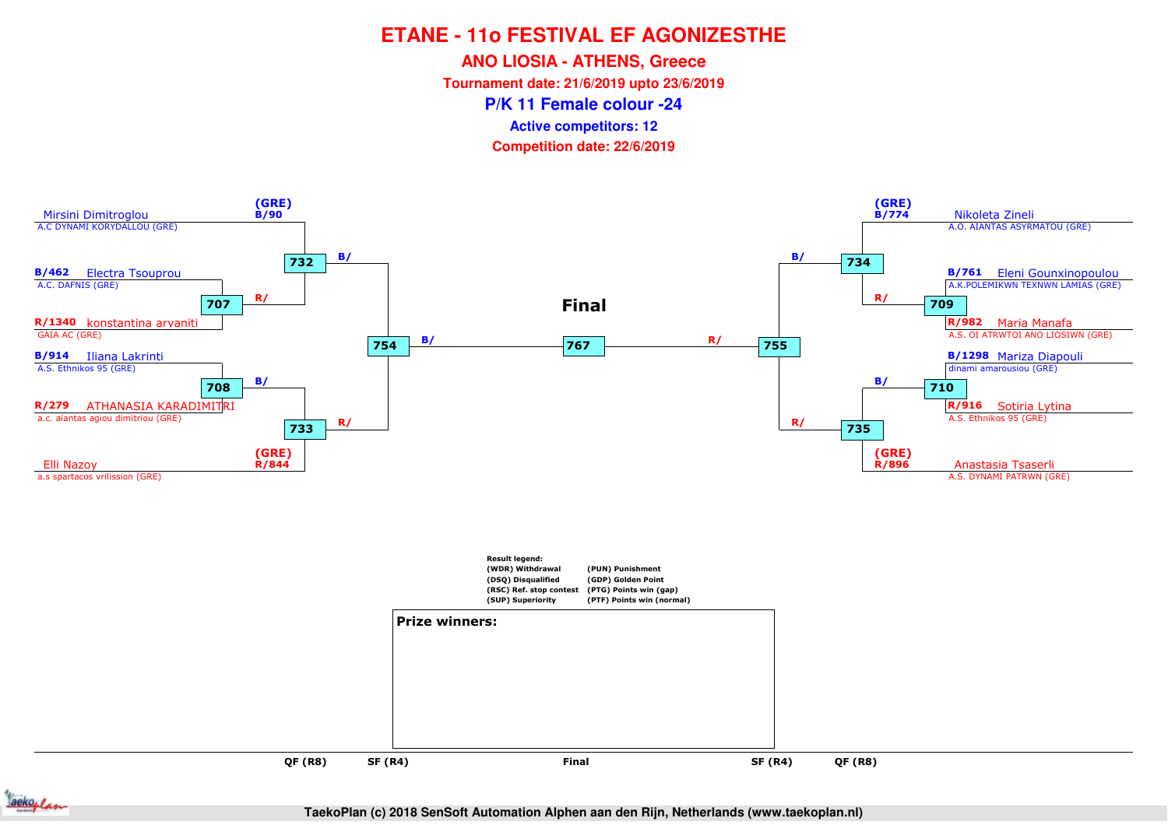**ANO LIOSIA - ATHENS, Greece**

**Tournament date: 21/6/2019 upto 23/6/2019**

**P/K 11 Female colour -24**

**Active competitors: 12**

**Competition date: 22/6/2019**





**QF (R8)**

**SF (R4)**

**TaekoPlan (c) 2018 SenSoft Automation Alphen aan den Rijn, Netherlands (www.taekoplan.nl)**

**Final**

**QF (R8)**

and **SF (R4)** Final SF (R4)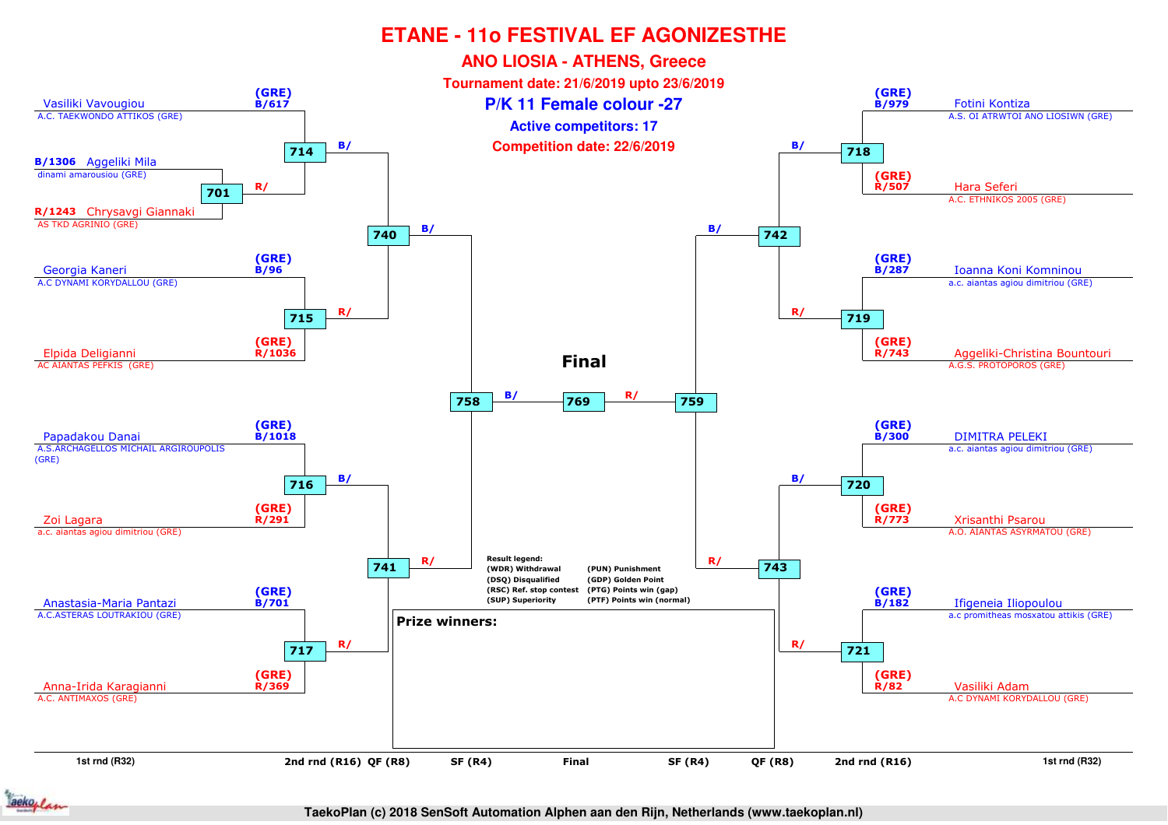

#### **TaekoPlan (c) 2018 SenSoft Automation Alphen aan den Rijn, Netherlands (www.taekoplan.nl)**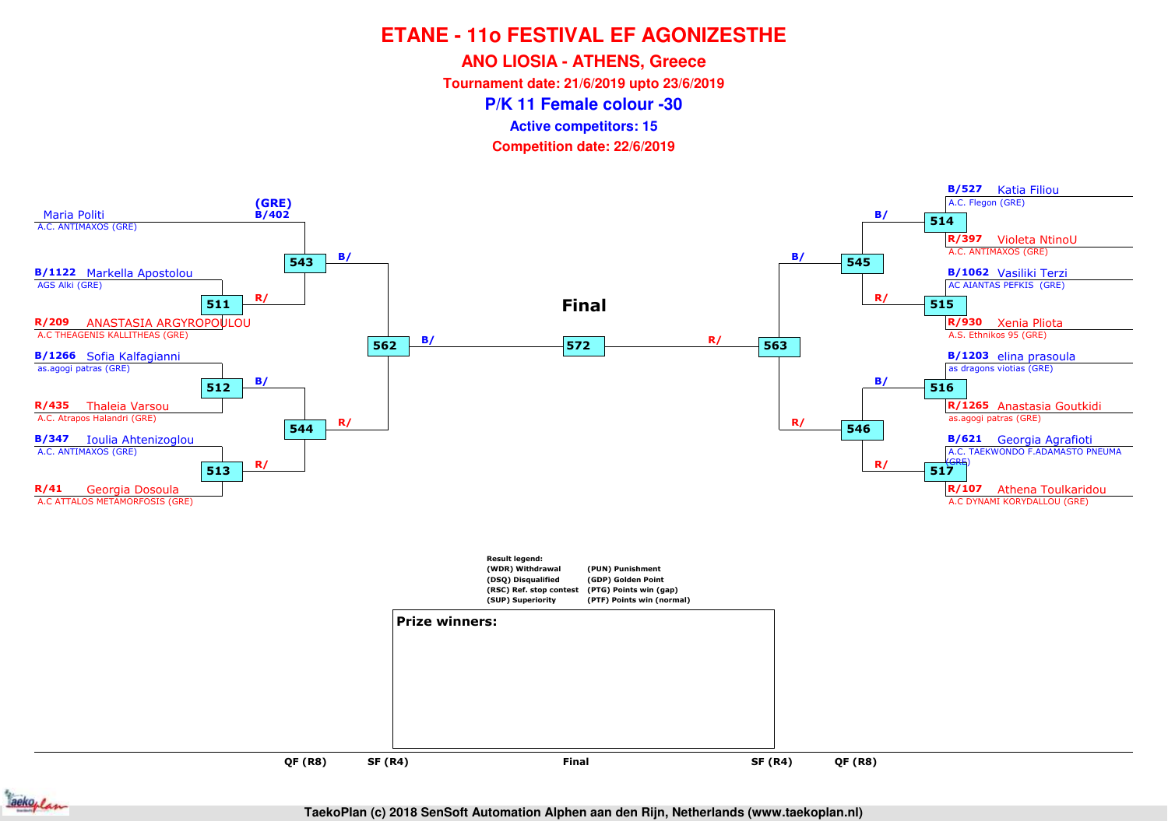**ANO LIOSIA - ATHENS, Greece**

**Tournament date: 21/6/2019 upto 23/6/2019**

**P/K 11 Female colour -30**

**Active competitors: 15**

**Competition date: 22/6/2019**





**TaekoPlan (c) 2018 SenSoft Automation Alphen aan den Rijn, Netherlands (www.taekoplan.nl)**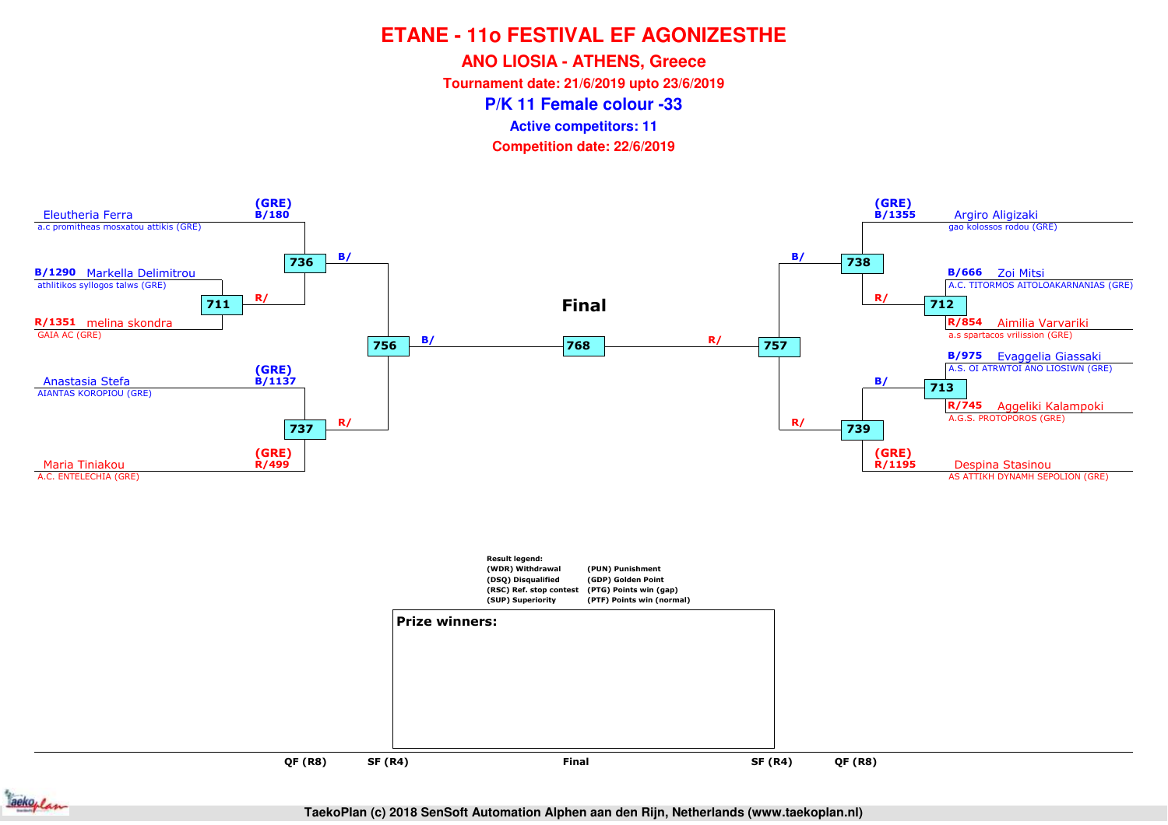**ANO LIOSIA - ATHENS, Greece**

**Tournament date: 21/6/2019 upto 23/6/2019**

**P/K 11 Female colour -33**

**Active competitors: 11**

**Competition date: 22/6/2019**





**TaekoPlan (c) 2018 SenSoft Automation Alphen aan den Rijn, Netherlands (www.taekoplan.nl)**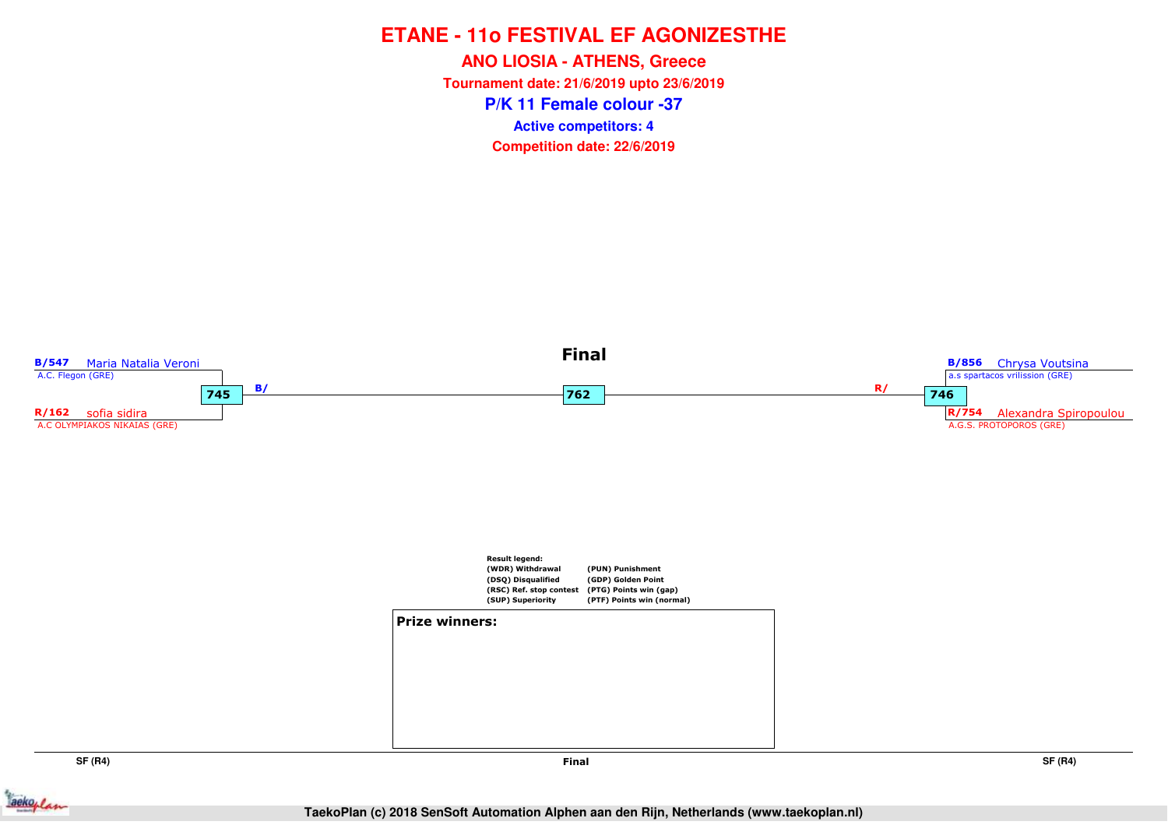**P/K 11 Female colour -37ANO LIOSIA - ATHENS, Greece Tournament date: 21/6/2019 upto 23/6/2019Competition date: 22/6/2019 Active competitors: 4**



**SF (R4)**

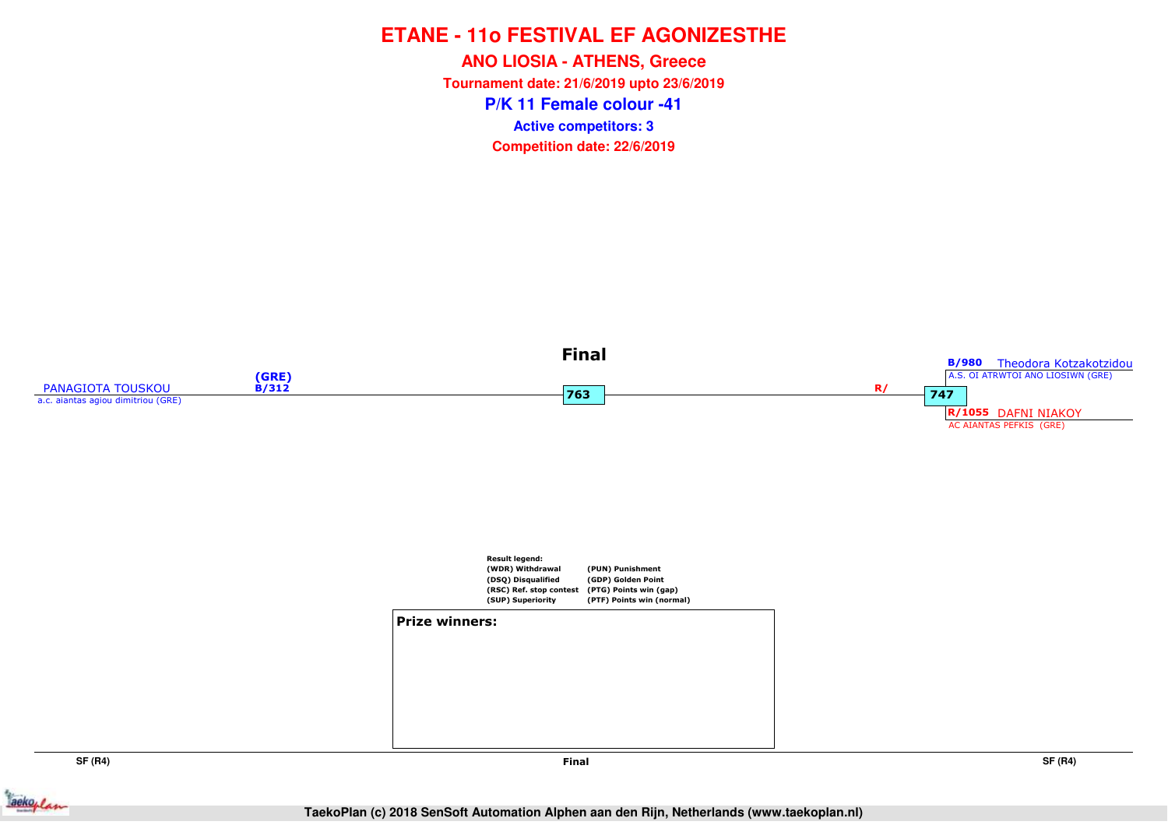**P/K 11 Female colour -41ANO LIOSIA - ATHENS, Greece Tournament date: 21/6/2019 upto 23/6/2019Competition date: 22/6/2019 Active competitors: 3**



ackoplan